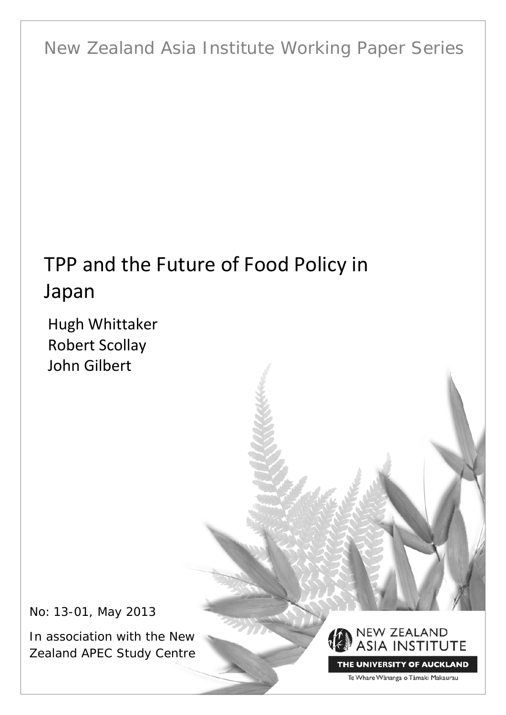New Zealand Asia Institute Working Paper Series

# TPP and the Future of Food Policy in Japan

Hugh Whittaker Robert Scollay John Gilbert

No: 13-01, May 2013

In association with the New Zealand APEC Study Centre



THE UNIVERSITY OF AUCKLAND

Te Whare Wānanga o Tāmaki Makaurau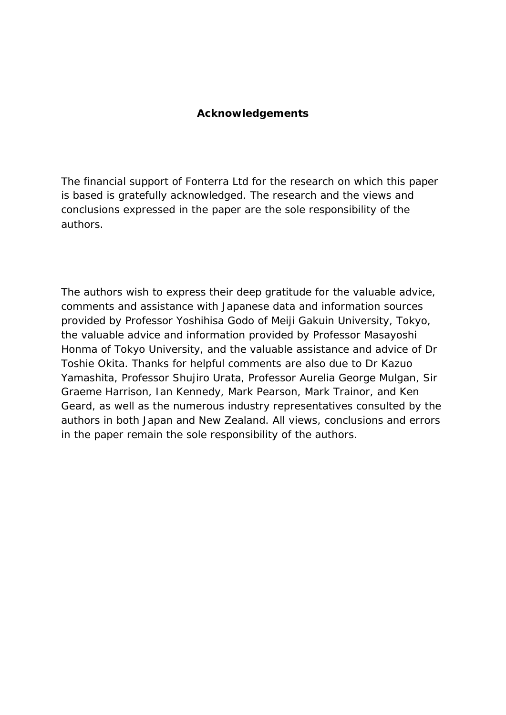#### **Acknowledgements**

The financial support of Fonterra Ltd for the research on which this paper is based is gratefully acknowledged. The research and the views and conclusions expressed in the paper are the sole responsibility of the authors.

The authors wish to express their deep gratitude for the valuable advice, comments and assistance with Japanese data and information sources provided by Professor Yoshihisa Godo of Meiji Gakuin University, Tokyo, the valuable advice and information provided by Professor Masayoshi Honma of Tokyo University, and the valuable assistance and advice of Dr Toshie Okita. Thanks for helpful comments are also due to Dr Kazuo Yamashita, Professor Shujiro Urata, Professor Aurelia George Mulgan, Sir Graeme Harrison, Ian Kennedy, Mark Pearson, Mark Trainor, and Ken Geard, as well as the numerous industry representatives consulted by the authors in both Japan and New Zealand. All views, conclusions and errors in the paper remain the sole responsibility of the authors.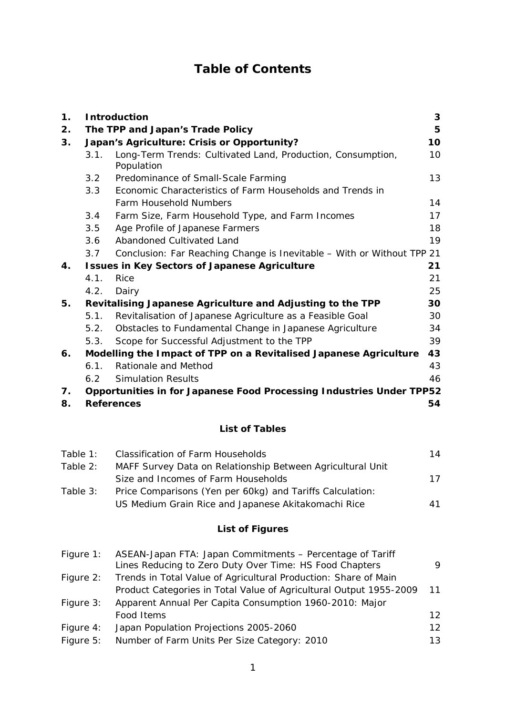## **Table of Contents**

| 1. | <b>Introduction</b><br>3                                  |                                                                           |    |  |  |  |  |
|----|-----------------------------------------------------------|---------------------------------------------------------------------------|----|--|--|--|--|
| 2. |                                                           | The TPP and Japan's Trade Policy                                          | 5  |  |  |  |  |
| 3. | Japan's Agriculture: Crisis or Opportunity?               |                                                                           |    |  |  |  |  |
|    | 3.1.                                                      | Long-Term Trends: Cultivated Land, Production, Consumption,<br>Population | 10 |  |  |  |  |
|    | 3.2                                                       | Predominance of Small-Scale Farming                                       | 13 |  |  |  |  |
|    | Economic Characteristics of Farm Households and Trends in |                                                                           |    |  |  |  |  |
|    |                                                           | <b>Farm Household Numbers</b>                                             | 14 |  |  |  |  |
|    | 3.4                                                       | Farm Size, Farm Household Type, and Farm Incomes                          | 17 |  |  |  |  |
|    | 3.5                                                       | Age Profile of Japanese Farmers                                           | 18 |  |  |  |  |
|    | 3.6                                                       | Abandoned Cultivated Land                                                 | 19 |  |  |  |  |
|    | 3.7                                                       | Conclusion: Far Reaching Change is Inevitable - With or Without TPP 21    |    |  |  |  |  |
| 4. |                                                           | <b>Issues in Key Sectors of Japanese Agriculture</b>                      | 21 |  |  |  |  |
|    | 4.1.                                                      | Rice                                                                      | 21 |  |  |  |  |
|    | 4.2.                                                      | Dairy                                                                     | 25 |  |  |  |  |
| 5. |                                                           | Revitalising Japanese Agriculture and Adjusting to the TPP                | 30 |  |  |  |  |
|    | 5.1.                                                      | Revitalisation of Japanese Agriculture as a Feasible Goal                 | 30 |  |  |  |  |
|    | 5.2.                                                      | Obstacles to Fundamental Change in Japanese Agriculture                   | 34 |  |  |  |  |
|    | 5.3.                                                      | Scope for Successful Adjustment to the TPP                                | 39 |  |  |  |  |
| 6. |                                                           | Modelling the Impact of TPP on a Revitalised Japanese Agriculture         | 43 |  |  |  |  |
|    | 6.1.                                                      | Rationale and Method                                                      | 43 |  |  |  |  |
|    | 6.2                                                       | <b>Simulation Results</b>                                                 | 46 |  |  |  |  |
| 7. |                                                           | Opportunities in for Japanese Food Processing Industries Under TPP52      |    |  |  |  |  |
| 8. |                                                           | <b>References</b>                                                         | 54 |  |  |  |  |

### **List of Tables**

| Table 1:   | <b>Classification of Farm Households</b>                   | 14 |
|------------|------------------------------------------------------------|----|
| Table 2:   | MAFF Survey Data on Relationship Between Agricultural Unit |    |
|            | Size and Incomes of Farm Households                        | 17 |
| Table $3:$ | Price Comparisons (Yen per 60kg) and Tariffs Calculation:  |    |
|            | US Medium Grain Rice and Japanese Akitakomachi Rice        | 41 |

## **List of Figures**

| Figure $1$ : | ASEAN-Japan FTA: Japan Commitments - Percentage of Tariff<br>Lines Reducing to Zero Duty Over Time: HS Food Chapters | 9               |
|--------------|----------------------------------------------------------------------------------------------------------------------|-----------------|
| Figure $2:$  | Trends in Total Value of Agricultural Production: Share of Main                                                      |                 |
|              | Product Categories in Total Value of Agricultural Output 1955-2009                                                   | 11              |
| Figure 3:    | Apparent Annual Per Capita Consumption 1960-2010: Major                                                              |                 |
|              | Food Items                                                                                                           | 12 <sup>°</sup> |
| Figure 4:    | Japan Population Projections 2005-2060                                                                               | 12 <sup>°</sup> |
| Figure 5:    | Number of Farm Units Per Size Category: 2010                                                                         | 13              |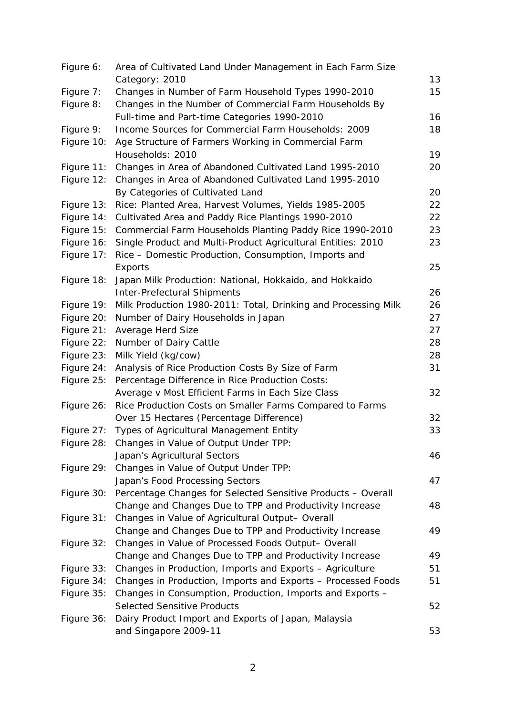| Figure 6:  | Area of Cultivated Land Under Management in Each Farm Size                                      |    |
|------------|-------------------------------------------------------------------------------------------------|----|
|            | Category: 2010                                                                                  | 13 |
| Figure 7:  | Changes in Number of Farm Household Types 1990-2010                                             | 15 |
| Figure 8:  | Changes in the Number of Commercial Farm Households By                                          |    |
|            | Full-time and Part-time Categories 1990-2010                                                    | 16 |
| Figure 9:  | Income Sources for Commercial Farm Households: 2009                                             | 18 |
| Figure 10: | Age Structure of Farmers Working in Commercial Farm                                             |    |
|            | Households: 2010                                                                                | 19 |
| Figure 11: | Changes in Area of Abandoned Cultivated Land 1995-2010                                          | 20 |
| Figure 12: | Changes in Area of Abandoned Cultivated Land 1995-2010                                          |    |
|            | By Categories of Cultivated Land                                                                | 20 |
| Figure 13: | Rice: Planted Area, Harvest Volumes, Yields 1985-2005                                           | 22 |
| Figure 14: | Cultivated Area and Paddy Rice Plantings 1990-2010                                              | 22 |
| Figure 15: | Commercial Farm Households Planting Paddy Rice 1990-2010                                        | 23 |
| Figure 16: | Single Product and Multi-Product Agricultural Entities: 2010                                    | 23 |
| Figure 17: | Rice - Domestic Production, Consumption, Imports and                                            |    |
|            | Exports                                                                                         | 25 |
| Figure 18: | Japan Milk Production: National, Hokkaido, and Hokkaido                                         |    |
|            | <b>Inter-Prefectural Shipments</b>                                                              | 26 |
| Figure 19: | Milk Production 1980-2011: Total, Drinking and Processing Milk                                  | 26 |
| Figure 20: | Number of Dairy Households in Japan                                                             | 27 |
| Figure 21: | Average Herd Size                                                                               | 27 |
| Figure 22: | Number of Dairy Cattle                                                                          | 28 |
| Figure 23: | Milk Yield (kg/cow)                                                                             | 28 |
| Figure 24: | Analysis of Rice Production Costs By Size of Farm                                               | 31 |
| Figure 25: | Percentage Difference in Rice Production Costs:                                                 |    |
|            | Average v Most Efficient Farms in Each Size Class                                               | 32 |
| Figure 26: | Rice Production Costs on Smaller Farms Compared to Farms                                        |    |
|            | Over 15 Hectares (Percentage Difference)                                                        | 32 |
|            | Figure 27: Types of Agricultural Management Entity                                              | 33 |
|            | Figure 28: Changes in Value of Output Under TPP:                                                |    |
|            | Japan's Agricultural Sectors                                                                    | 46 |
| Figure 29: | Changes in Value of Output Under TPP:                                                           |    |
|            | Japan's Food Processing Sectors                                                                 | 47 |
| Figure 30: | Percentage Changes for Selected Sensitive Products - Overall                                    |    |
|            | Change and Changes Due to TPP and Productivity Increase                                         | 48 |
| Figure 31: | Changes in Value of Agricultural Output- Overall                                                |    |
|            | Change and Changes Due to TPP and Productivity Increase                                         | 49 |
| Figure 32: | Changes in Value of Processed Foods Output- Overall                                             |    |
|            | Change and Changes Due to TPP and Productivity Increase                                         | 49 |
| Figure 33: | Changes in Production, Imports and Exports - Agriculture                                        | 51 |
| Figure 34: |                                                                                                 | 51 |
| Figure 35: | Changes in Production, Imports and Exports - Processed Foods                                    |    |
|            | Changes in Consumption, Production, Imports and Exports -<br><b>Selected Sensitive Products</b> | 52 |
|            |                                                                                                 |    |
| Figure 36: | Dairy Product Import and Exports of Japan, Malaysia<br>and Singapore 2009-11                    | 53 |
|            |                                                                                                 |    |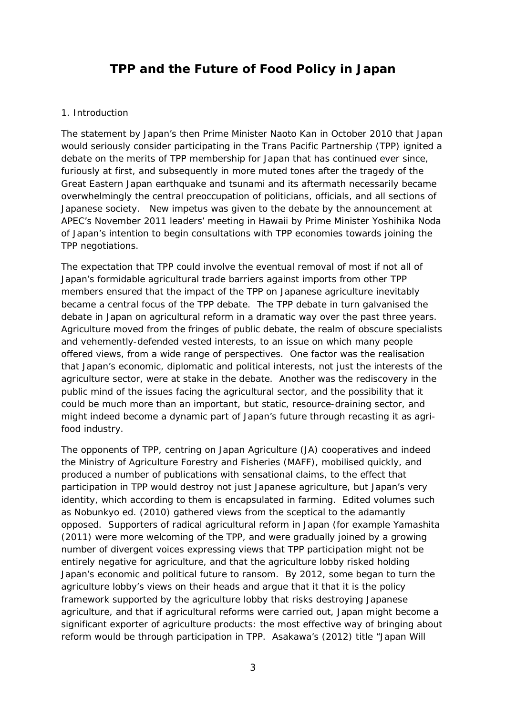## **TPP and the Future of Food Policy in Japan**

#### 1. Introduction

The statement by Japan's then Prime Minister Naoto Kan in October 2010 that Japan would seriously consider participating in the Trans Pacific Partnership (TPP) ignited a debate on the merits of TPP membership for Japan that has continued ever since, furiously at first, and subsequently in more muted tones after the tragedy of the Great Eastern Japan earthquake and tsunami and its aftermath necessarily became overwhelmingly the central preoccupation of politicians, officials, and all sections of Japanese society. New impetus was given to the debate by the announcement at APEC's November 2011 leaders' meeting in Hawaii by Prime Minister Yoshihika Noda of Japan's intention to begin consultations with TPP economies towards joining the TPP negotiations.

The expectation that TPP could involve the eventual removal of most if not all of Japan's formidable agricultural trade barriers against imports from other TPP members ensured that the impact of the TPP on Japanese agriculture inevitably became a central focus of the TPP debate. The TPP debate in turn galvanised the debate in Japan on agricultural reform in a dramatic way over the past three years. Agriculture moved from the fringes of public debate, the realm of obscure specialists and vehemently-defended vested interests, to an issue on which many people offered views, from a wide range of perspectives. One factor was the realisation that Japan's economic, diplomatic and political interests, not just the interests of the agriculture sector, were at stake in the debate. Another was the rediscovery in the public mind of the issues facing the agricultural sector, and the possibility that it could be much more than an important, but static, resource-draining sector, and might indeed become a dynamic part of Japan's future through recasting it as agrifood industry.

The opponents of TPP, centring on Japan Agriculture (JA) cooperatives and indeed the Ministry of Agriculture Forestry and Fisheries (MAFF), mobilised quickly, and produced a number of publications with sensational claims, to the effect that participation in TPP would destroy not just Japanese agriculture, but Japan's very identity, which according to them is encapsulated in farming. Edited volumes such as Nobunkyo ed. (2010) gathered views from the sceptical to the adamantly opposed. Supporters of radical agricultural reform in Japan (for example Yamashita (2011) were more welcoming of the TPP, and were gradually joined by a growing number of divergent voices expressing views that TPP participation might not be entirely negative for agriculture, and that the agriculture lobby risked holding Japan's economic and political future to ransom. By 2012, some began to turn the agriculture lobby's views on their heads and argue that it that it is the policy framework supported by the agriculture lobby that risks destroying Japanese agriculture, and that if agricultural reforms were carried out, Japan might become a significant exporter of agriculture products: the most effective way of bringing about reform would be through participation in TPP. Asakawa's (2012) title "Japan Will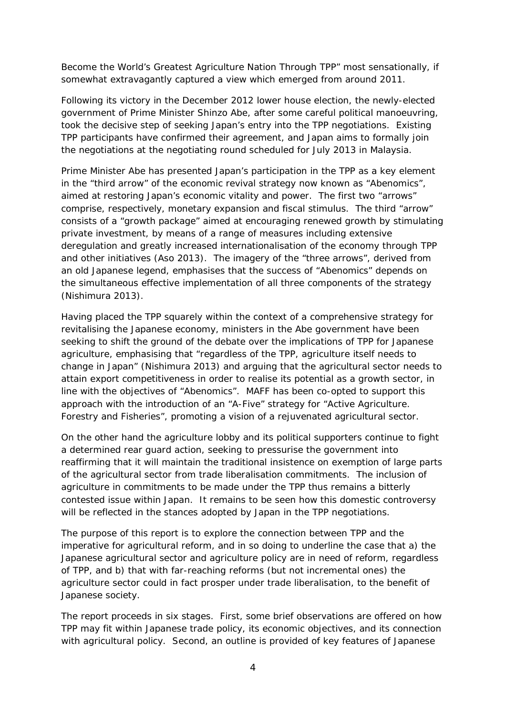Become the World's Greatest Agriculture Nation Through TPP" most sensationally, if somewhat extravagantly captured a view which emerged from around 2011.

Following its victory in the December 2012 lower house election, the newly-elected government of Prime Minister Shinzo Abe, after some careful political manoeuvring, took the decisive step of seeking Japan's entry into the TPP negotiations. Existing TPP participants have confirmed their agreement, and Japan aims to formally join the negotiations at the negotiating round scheduled for July 2013 in Malaysia.

Prime Minister Abe has presented Japan's participation in the TPP as a key element in the "third arrow" of the economic revival strategy now known as "Abenomics", aimed at restoring Japan's economic vitality and power. The first two "arrows" comprise, respectively, monetary expansion and fiscal stimulus. The third "arrow" consists of a "growth package" aimed at encouraging renewed growth by stimulating private investment, by means of a range of measures including extensive deregulation and greatly increased internationalisation of the economy through TPP and other initiatives (Aso 2013). The imagery of the "three arrows", derived from an old Japanese legend, emphasises that the success of "Abenomics" depends on the simultaneous effective implementation of all three components of the strategy (Nishimura 2013).

Having placed the TPP squarely within the context of a comprehensive strategy for revitalising the Japanese economy, ministers in the Abe government have been seeking to shift the ground of the debate over the implications of TPP for Japanese agriculture, emphasising that "regardless of the TPP, agriculture itself needs to change in Japan" (Nishimura 2013) and arguing that the agricultural sector needs to attain export competitiveness in order to realise its potential as a growth sector, in line with the objectives of "Abenomics". MAFF has been co-opted to support this approach with the introduction of an "A-Five" strategy for "Active Agriculture. Forestry and Fisheries", promoting a vision of a rejuvenated agricultural sector.

On the other hand the agriculture lobby and its political supporters continue to fight a determined rear guard action, seeking to pressurise the government into reaffirming that it will maintain the traditional insistence on exemption of large parts of the agricultural sector from trade liberalisation commitments. The inclusion of agriculture in commitments to be made under the TPP thus remains a bitterly contested issue within Japan. It remains to be seen how this domestic controversy will be reflected in the stances adopted by Japan in the TPP negotiations.

The purpose of this report is to explore the connection between TPP and the imperative for agricultural reform, and in so doing to underline the case that a) the Japanese agricultural sector and agriculture policy are in need of reform, regardless of TPP, and b) that with far-reaching reforms (but not incremental ones) the agriculture sector could in fact prosper under trade liberalisation, to the benefit of Japanese society.

The report proceeds in six stages. First, some brief observations are offered on how TPP may fit within Japanese trade policy, its economic objectives, and its connection with agricultural policy. Second, an outline is provided of key features of Japanese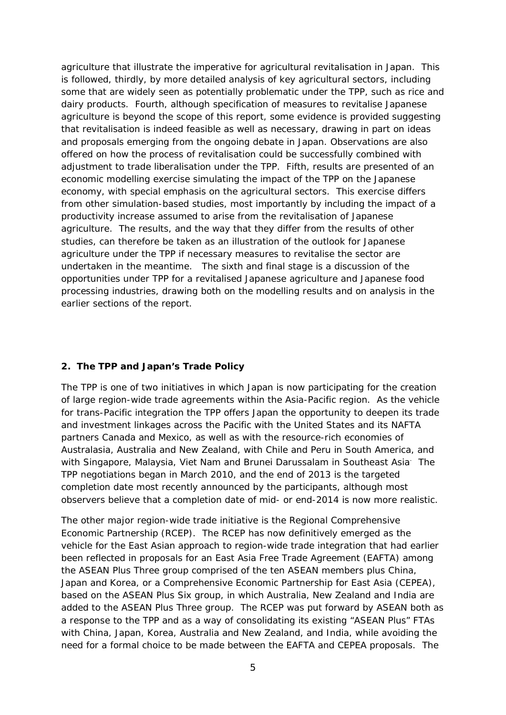agriculture that illustrate the imperative for agricultural revitalisation in Japan. This is followed, thirdly, by more detailed analysis of key agricultural sectors, including some that are widely seen as potentially problematic under the TPP, such as rice and dairy products. Fourth, although specification of measures to revitalise Japanese agriculture is beyond the scope of this report, some evidence is provided suggesting that revitalisation is indeed feasible as well as necessary, drawing in part on ideas and proposals emerging from the ongoing debate in Japan. Observations are also offered on how the process of revitalisation could be successfully combined with adjustment to trade liberalisation under the TPP. Fifth, results are presented of an economic modelling exercise simulating the impact of the TPP on the Japanese economy, with special emphasis on the agricultural sectors. This exercise differs from other simulation-based studies, most importantly by including the impact of a productivity increase assumed to arise from the revitalisation of Japanese agriculture. The results, and the way that they differ from the results of other studies, can therefore be taken as an illustration of the outlook for Japanese agriculture under the TPP if necessary measures to revitalise the sector are undertaken in the meantime. The sixth and final stage is a discussion of the opportunities under TPP for a revitalised Japanese agriculture and Japanese food processing industries, drawing both on the modelling results and on analysis in the earlier sections of the report.

#### **2. The TPP and Japan's Trade Policy**

The TPP is one of two initiatives in which Japan is now participating for the creation of large region-wide trade agreements within the Asia-Pacific region. As the vehicle for trans-Pacific integration the TPP offers Japan the opportunity to deepen its trade and investment linkages across the Pacific with the United States and its NAFTA partners Canada and Mexico, as well as with the resource-rich economies of Australasia, Australia and New Zealand, with Chile and Peru in South America, and with Singapore, Malaysia, Viet Nam and Brunei Darussalam in Southeast Asia The TPP negotiations began in March 2010, and the end of 2013 is the targeted completion date most recently announced by the participants, although most observers believe that a completion date of mid- or end-2014 is now more realistic.

The other major region-wide trade initiative is the Regional Comprehensive Economic Partnership (RCEP). The RCEP has now definitively emerged as the vehicle for the East Asian approach to region-wide trade integration that had earlier been reflected in proposals for an East Asia Free Trade Agreement (EAFTA) among the ASEAN Plus Three group comprised of the ten ASEAN members plus China, Japan and Korea, or a Comprehensive Economic Partnership for East Asia (CEPEA), based on the ASEAN Plus Six group, in which Australia, New Zealand and India are added to the ASEAN Plus Three group. The RCEP was put forward by ASEAN both as a response to the TPP and as a way of consolidating its existing "ASEAN Plus" FTAs with China, Japan, Korea, Australia and New Zealand, and India, while avoiding the need for a formal choice to be made between the EAFTA and CEPEA proposals. The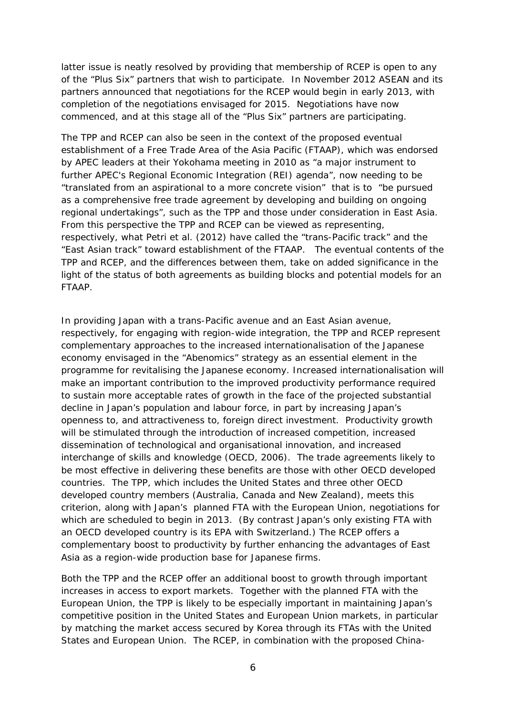latter issue is neatly resolved by providing that membership of RCEP is open to any of the "Plus Six" partners that wish to participate. In November 2012 ASEAN and its partners announced that negotiations for the RCEP would begin in early 2013, with completion of the negotiations envisaged for 2015. Negotiations have now commenced, and at this stage all of the "Plus Six" partners are participating.

The TPP and RCEP can also be seen in the context of the proposed eventual establishment of a Free Trade Area of the Asia Pacific (FTAAP), which was endorsed by APEC leaders at their Yokohama meeting in 2010 as "a major instrument to further APEC's Regional Economic Integration (REI) agenda", now needing to be "translated from an aspirational to a more concrete vision" that is to "be pursued as a comprehensive free trade agreement by developing and building on ongoing regional undertakings", such as the TPP and those under consideration in East Asia. From this perspective the TPP and RCEP can be viewed as representing, respectively, what Petri et al. (2012) have called the "trans-Pacific track" and the "East Asian track" toward establishment of the FTAAP. The eventual contents of the TPP and RCEP, and the differences between them, take on added significance in the light of the status of both agreements as building blocks and potential models for an FTAAP.

In providing Japan with a trans-Pacific avenue and an East Asian avenue, respectively, for engaging with region-wide integration, the TPP and RCEP represent complementary approaches to the increased internationalisation of the Japanese economy envisaged in the "Abenomics" strategy as an essential element in the programme for revitalising the Japanese economy. Increased internationalisation will make an important contribution to the improved productivity performance required to sustain more acceptable rates of growth in the face of the projected substantial decline in Japan's population and labour force, in part by increasing Japan's openness to, and attractiveness to, foreign direct investment. Productivity growth will be stimulated through the introduction of increased competition, increased dissemination of technological and organisational innovation, and increased interchange of skills and knowledge (OECD, 2006). The trade agreements likely to be most effective in delivering these benefits are those with other OECD developed countries. The TPP, which includes the United States and three other OECD developed country members (Australia, Canada and New Zealand), meets this criterion, along with Japan's planned FTA with the European Union, negotiations for which are scheduled to begin in 2013. (By contrast Japan's only existing FTA with an OECD developed country is its EPA with Switzerland.) The RCEP offers a complementary boost to productivity by further enhancing the advantages of East Asia as a region-wide production base for Japanese firms.

Both the TPP and the RCEP offer an additional boost to growth through important increases in access to export markets. Together with the planned FTA with the European Union, the TPP is likely to be especially important in maintaining Japan's competitive position in the United States and European Union markets, in particular by matching the market access secured by Korea through its FTAs with the United States and European Union. The RCEP, in combination with the proposed China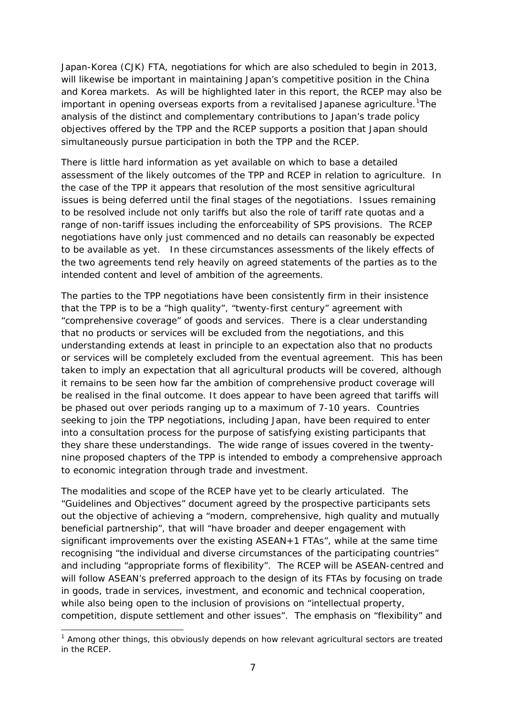Japan-Korea (CJK) FTA, negotiations for which are also scheduled to begin in 2013, will likewise be important in maintaining Japan's competitive position in the China and Korea markets. As will be highlighted later in this report, the RCEP may also be important in opening overseas exports from a revitalised Japanese agriculture.<sup>[1](#page-8-0)</sup>The analysis of the distinct and complementary contributions to Japan's trade policy objectives offered by the TPP and the RCEP supports a position that Japan should simultaneously pursue participation in both the TPP and the RCEP.

There is little hard information as yet available on which to base a detailed assessment of the likely outcomes of the TPP and RCEP in relation to agriculture. In the case of the TPP it appears that resolution of the most sensitive agricultural issues is being deferred until the final stages of the negotiations. Issues remaining to be resolved include not only tariffs but also the role of tariff rate quotas and a range of non-tariff issues including the enforceability of SPS provisions. The RCEP negotiations have only just commenced and no details can reasonably be expected to be available as yet. In these circumstances assessments of the likely effects of the two agreements tend rely heavily on agreed statements of the parties as to the intended content and level of ambition of the agreements.

The parties to the TPP negotiations have been consistently firm in their insistence that the TPP is to be a "high quality", "twenty-first century" agreement with "comprehensive coverage" of goods and services. There is a clear understanding that no products or services will be excluded from the negotiations, and this understanding extends at least in principle to an expectation also that no products or services will be completely excluded from the eventual agreement. This has been taken to imply an expectation that all agricultural products will be covered, although it remains to be seen how far the ambition of comprehensive product coverage will be realised in the final outcome. It does appear to have been agreed that tariffs will be phased out over periods ranging up to a maximum of 7-10 years. Countries seeking to join the TPP negotiations, including Japan, have been required to enter into a consultation process for the purpose of satisfying existing participants that they share these understandings. The wide range of issues covered in the twentynine proposed chapters of the TPP is intended to embody a comprehensive approach to economic integration through trade and investment.

The modalities and scope of the RCEP have yet to be clearly articulated. The "Guidelines and Objectives" document agreed by the prospective participants sets out the objective of achieving a "modern, comprehensive, high quality and mutually beneficial partnership", that will "have broader and deeper engagement with significant improvements over the existing ASEAN+1 FTAs", while at the same time recognising "the individual and diverse circumstances of the participating countries" and including "appropriate forms of flexibility". The RCEP will be ASEAN-centred and will follow ASEAN's preferred approach to the design of its FTAs by focusing on trade in goods, trade in services, investment, and economic and technical cooperation, while also being open to the inclusion of provisions on "intellectual property, competition, dispute settlement and other issues". The emphasis on "flexibility" and

-

<span id="page-8-0"></span> $<sup>1</sup>$  Among other things, this obviously depends on how relevant agricultural sectors are treated</sup> in the RCEP.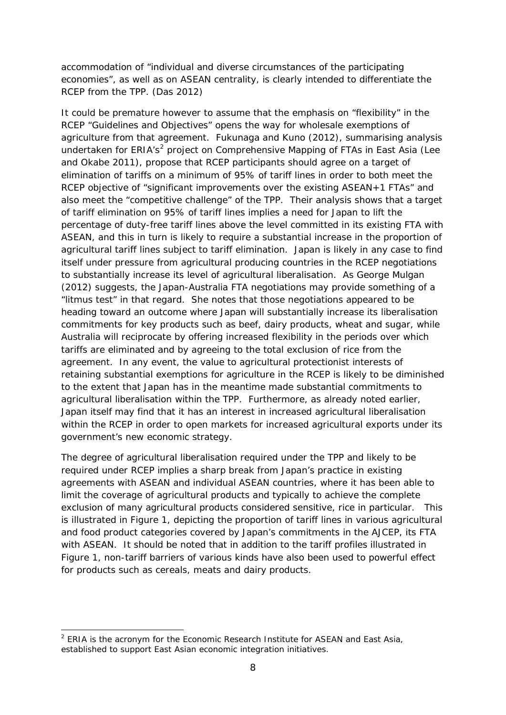accommodation of "individual and diverse circumstances of the participating economies", as well as on ASEAN centrality, is clearly intended to differentiate the RCEP from the TPP. (Das 2012)

It could be premature however to assume that the emphasis on "flexibility" in the RCEP "Guidelines and Objectives" opens the way for wholesale exemptions of agriculture from that agreement. Fukunaga and Kuno (2012), summarising analysis undertaken for ERIA's<sup>[2](#page-9-0)</sup> project on Comprehensive Mapping of FTAs in East Asia (Lee and Okabe 2011), propose that RCEP participants should agree on a target of elimination of tariffs on a minimum of 95% of tariff lines in order to both meet the RCEP objective of "significant improvements over the existing ASEAN+1 FTAs" and also meet the "competitive challenge" of the TPP. Their analysis shows that a target of tariff elimination on 95% of tariff lines implies a need for Japan to lift the percentage of duty-free tariff lines above the level committed in its existing FTA with ASEAN, and this in turn is likely to require a substantial increase in the proportion of agricultural tariff lines subject to tariff elimination. Japan is likely in any case to find itself under pressure from agricultural producing countries in the RCEP negotiations to substantially increase its level of agricultural liberalisation. As George Mulgan (2012) suggests, the Japan-Australia FTA negotiations may provide something of a "litmus test" in that regard. She notes that those negotiations appeared to be heading toward an outcome where Japan will substantially increase its liberalisation commitments for key products such as beef, dairy products, wheat and sugar, while Australia will reciprocate by offering increased flexibility in the periods over which tariffs are eliminated and by agreeing to the total exclusion of rice from the agreement. In any event, the value to agricultural protectionist interests of retaining substantial exemptions for agriculture in the RCEP is likely to be diminished to the extent that Japan has in the meantime made substantial commitments to agricultural liberalisation within the TPP. Furthermore, as already noted earlier, Japan itself may find that it has an interest in increased agricultural liberalisation within the RCEP in order to open markets for increased agricultural exports under its government's new economic strategy.

The degree of agricultural liberalisation required under the TPP and likely to be required under RCEP implies a sharp break from Japan's practice in existing agreements with ASEAN and individual ASEAN countries, where it has been able to limit the coverage of agricultural products and typically to achieve the complete exclusion of many agricultural products considered sensitive, rice in particular. This is illustrated in Figure 1, depicting the proportion of tariff lines in various agricultural and food product categories covered by Japan's commitments in the AJCEP, its FTA with ASEAN. It should be noted that in addition to the tariff profiles illustrated in Figure 1, non-tariff barriers of various kinds have also been used to powerful effect for products such as cereals, meats and dairy products.

-

<span id="page-9-0"></span> $2$  ERIA is the acronym for the Economic Research Institute for ASEAN and East Asia, established to support East Asian economic integration initiatives.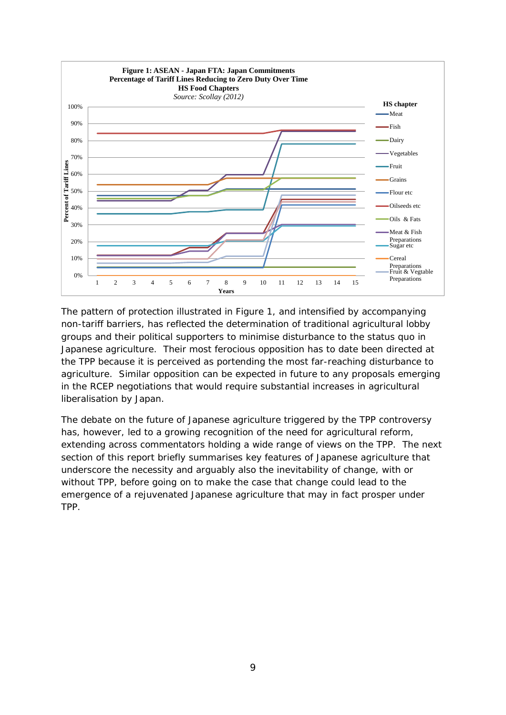

The pattern of protection illustrated in Figure 1, and intensified by accompanying non-tariff barriers, has reflected the determination of traditional agricultural lobby groups and their political supporters to minimise disturbance to the status quo in Japanese agriculture. Their most ferocious opposition has to date been directed at the TPP because it is perceived as portending the most far-reaching disturbance to agriculture. Similar opposition can be expected in future to any proposals emerging in the RCEP negotiations that would require substantial increases in agricultural liberalisation by Japan.

The debate on the future of Japanese agriculture triggered by the TPP controversy has, however, led to a growing recognition of the need for agricultural reform, extending across commentators holding a wide range of views on the TPP. The next section of this report briefly summarises key features of Japanese agriculture that underscore the necessity and arguably also the inevitability of change, with or without TPP, before going on to make the case that change could lead to the emergence of a rejuvenated Japanese agriculture that may in fact prosper under TPP.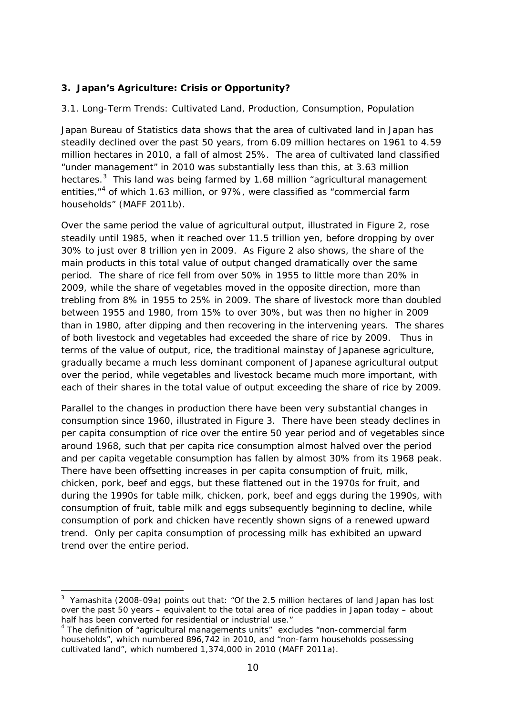#### **3. Japan's Agriculture: Crisis or Opportunity?**

#### *3.1. Long-Term Trends: Cultivated Land, Production, Consumption, Population*

Japan Bureau of Statistics data shows that the area of cultivated land in Japan has steadily declined over the past 50 years, from 6.09 million hectares on 1961 to 4.59 million hectares in 2010, a fall of almost 25%. The area of cultivated land classified "under management" in 2010 was substantially less than this, at 3.63 million hectares.<sup>[3](#page-11-0)</sup> This land was being farmed by 1.68 million "agricultural management entities,<sup>"[4](#page-11-1)</sup> of which 1.63 million, or 97%, were classified as "commercial farm households" (MAFF 2011b).

Over the same period the value of agricultural output, illustrated in Figure 2, rose steadily until 1985, when it reached over 11.5 trillion yen, before dropping by over 30% to just over 8 trillion yen in 2009. As Figure 2 also shows, the share of the main products in this total value of output changed dramatically over the same period. The share of rice fell from over 50% in 1955 to little more than 20% in 2009, while the share of vegetables moved in the opposite direction, more than trebling from 8% in 1955 to 25% in 2009. The share of livestock more than doubled between 1955 and 1980, from 15% to over 30%, but was then no higher in 2009 than in 1980, after dipping and then recovering in the intervening years. The shares of both livestock and vegetables had exceeded the share of rice by 2009. Thus in terms of the value of output, rice, the traditional mainstay of Japanese agriculture, gradually became a much less dominant component of Japanese agricultural output over the period, while vegetables and livestock became much more important, with each of their shares in the total value of output exceeding the share of rice by 2009.

Parallel to the changes in production there have been very substantial changes in consumption since 1960, illustrated in Figure 3. There have been steady declines in per capita consumption of rice over the entire 50 year period and of vegetables since around 1968, such that per capita rice consumption almost halved over the period and per capita vegetable consumption has fallen by almost 30% from its 1968 peak. There have been offsetting increases in per capita consumption of fruit, milk, chicken, pork, beef and eggs, but these flattened out in the 1970s for fruit, and during the 1990s for table milk, chicken, pork, beef and eggs during the 1990s, with consumption of fruit, table milk and eggs subsequently beginning to decline, while consumption of pork and chicken have recently shown signs of a renewed upward trend. Only per capita consumption of processing milk has exhibited an upward trend over the entire period.

<u>.</u>

<span id="page-11-0"></span><sup>&</sup>lt;sup>3</sup> Yamashita (2008-09a) points out that: "Of the 2.5 million hectares of land Japan has lost over the past 50 years – equivalent to the total area of rice paddies in Japan today – about half has been converted for residential or industrial use."

<span id="page-11-1"></span><sup>&</sup>lt;sup>4</sup> The definition of "agricultural managements units" excludes "non-commercial farm households", which numbered 896,742 in 2010, and "non-farm households possessing cultivated land", which numbered 1,374,000 in 2010 (MAFF 2011a).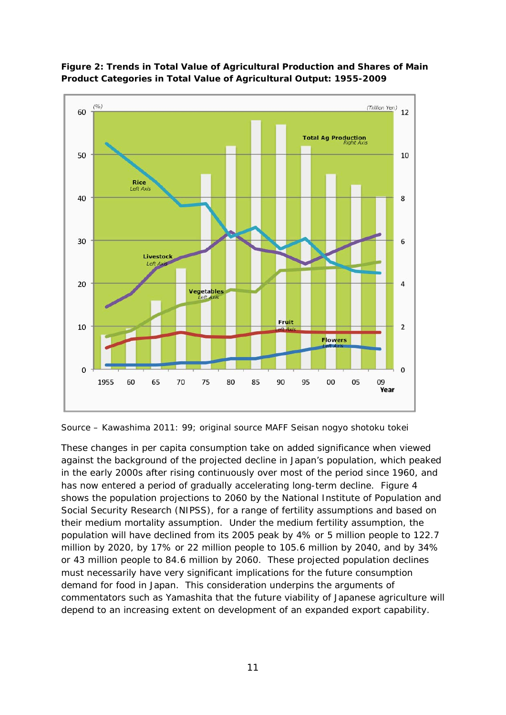

**Figure 2: Trends in Total Value of Agricultural Production and Shares of Main Product Categories in Total Value of Agricultural Output: 1955-2009**

*Source – Kawashima 2011: 99; original source MAFF Seisan nogyo shotoku tokei*

These changes in per capita consumption take on added significance when viewed against the background of the projected decline in Japan's population, which peaked in the early 2000s after rising continuously over most of the period since 1960, and has now entered a period of gradually accelerating long-term decline. Figure 4 shows the population projections to 2060 by the National Institute of Population and Social Security Research (NIPSS), for a range of fertility assumptions and based on their medium mortality assumption. Under the medium fertility assumption, the population will have declined from its 2005 peak by 4% or 5 million people to 122.7 million by 2020, by 17% or 22 million people to 105.6 million by 2040, and by 34% or 43 million people to 84.6 million by 2060. These projected population declines must necessarily have very significant implications for the future consumption demand for food in Japan. This consideration underpins the arguments of commentators such as Yamashita that the future viability of Japanese agriculture will depend to an increasing extent on development of an expanded export capability.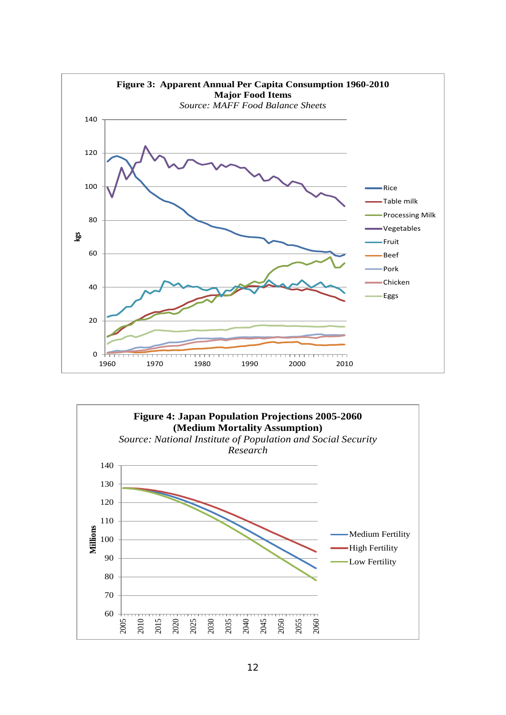

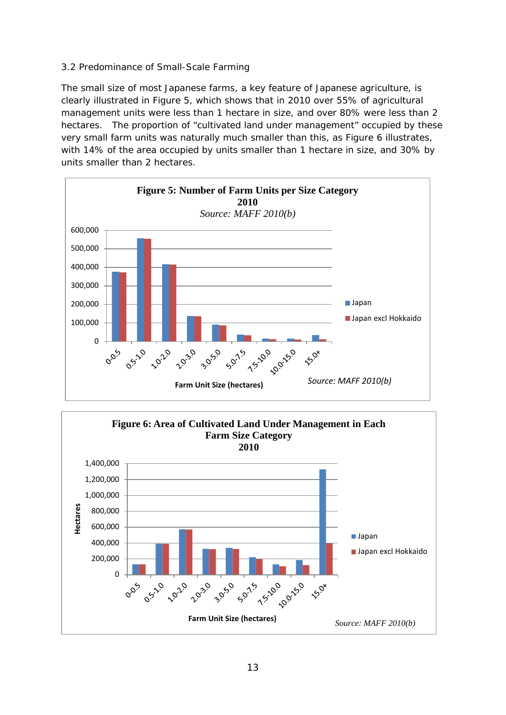#### *3.2 Predominance of Small-Scale Farming*

The small size of most Japanese farms, a key feature of Japanese agriculture, is clearly illustrated in Figure 5, which shows that in 2010 over 55% of agricultural management units were less than 1 hectare in size, and over 80% were less than 2 hectares. The proportion of "cultivated land under management" occupied by these very small farm units was naturally much smaller than this, as Figure 6 illustrates, with 14% of the area occupied by units smaller than 1 hectare in size, and 30% by units smaller than 2 hectares.



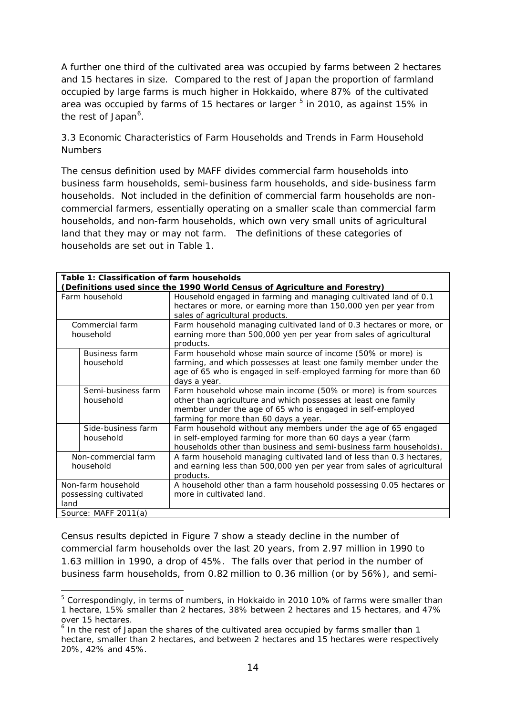A further one third of the cultivated area was occupied by farms between 2 hectares and 15 hectares in size. Compared to the rest of Japan the proportion of farmland occupied by large farms is much higher in Hokkaido, where 87% of the cultivated area was occupied by farms of 1[5](#page-15-0) hectares or larger  $5$  in 2010, as against 15% in the rest of Japan<sup>[6](#page-15-1)</sup>.

#### *3.3 Economic Characteristics of Farm Households and Trends in Farm Household Numbers*

The census definition used by MAFF divides commercial farm households into business farm households, semi-business farm households, and side-business farm households. Not included in the definition of commercial farm households are noncommercial farmers, essentially operating on a smaller scale than commercial farm households, and non-farm households, which own very small units of agricultural land that they may or may not farm. The definitions of these categories of households are set out in Table 1.

| Table 1: Classification of farm households                                 |                                                                                                                                                                         |  |  |  |  |  |  |  |
|----------------------------------------------------------------------------|-------------------------------------------------------------------------------------------------------------------------------------------------------------------------|--|--|--|--|--|--|--|
| (Definitions used since the 1990 World Census of Agriculture and Forestry) |                                                                                                                                                                         |  |  |  |  |  |  |  |
| Farm household                                                             | Household engaged in farming and managing cultivated land of 0.1<br>hectares or more, or earning more than 150,000 yen per year from<br>sales of agricultural products. |  |  |  |  |  |  |  |
| Commercial farm                                                            | Farm household managing cultivated land of 0.3 hectares or more, or                                                                                                     |  |  |  |  |  |  |  |
| household                                                                  | earning more than 500,000 yen per year from sales of agricultural<br>products.                                                                                          |  |  |  |  |  |  |  |
| Business farm                                                              | Farm household whose main source of income (50% or more) is                                                                                                             |  |  |  |  |  |  |  |
| household                                                                  | farming, and which possesses at least one family member under the<br>age of 65 who is engaged in self-employed farming for more than 60                                 |  |  |  |  |  |  |  |
|                                                                            | days a year.                                                                                                                                                            |  |  |  |  |  |  |  |
| Semi-business farm                                                         | Farm household whose main income (50% or more) is from sources                                                                                                          |  |  |  |  |  |  |  |
| household                                                                  | other than agriculture and which possesses at least one family<br>member under the age of 65 who is engaged in self-employed                                            |  |  |  |  |  |  |  |
|                                                                            | farming for more than 60 days a year.                                                                                                                                   |  |  |  |  |  |  |  |
| Side-business farm                                                         | Farm household without any members under the age of 65 engaged                                                                                                          |  |  |  |  |  |  |  |
| household                                                                  | in self-employed farming for more than 60 days a year (farm<br>households other than business and semi-business farm households).                                       |  |  |  |  |  |  |  |
| Non-commercial farm                                                        | A farm household managing cultivated land of less than 0.3 hectares,                                                                                                    |  |  |  |  |  |  |  |
| household                                                                  | and earning less than 500,000 yen per year from sales of agricultural                                                                                                   |  |  |  |  |  |  |  |
|                                                                            | products.                                                                                                                                                               |  |  |  |  |  |  |  |
| Non-farm household                                                         | A household other than a farm household possessing 0.05 hectares or                                                                                                     |  |  |  |  |  |  |  |
| possessing cultivated<br>land                                              | more in cultivated land.                                                                                                                                                |  |  |  |  |  |  |  |
| Source: MAFF 2011(a)                                                       |                                                                                                                                                                         |  |  |  |  |  |  |  |
|                                                                            |                                                                                                                                                                         |  |  |  |  |  |  |  |

Census results depicted in Figure 7 show a steady decline in the number of commercial farm households over the last 20 years, from 2.97 million in 1990 to 1.63 million in 1990, a drop of 45%. The falls over that period in the number of business farm households, from 0.82 million to 0.36 million (or by 56%), and semi-

<u>.</u>

<span id="page-15-0"></span><sup>5</sup> Correspondingly, in terms of numbers, in Hokkaido in 2010 10% of farms were smaller than 1 hectare, 15% smaller than 2 hectares, 38% between 2 hectares and 15 hectares, and 47% over 15 hectares.

<span id="page-15-1"></span> $6$  In the rest of Japan the shares of the cultivated area occupied by farms smaller than 1 hectare, smaller than 2 hectares, and between 2 hectares and 15 hectares were respectively 20%, 42% and 45%.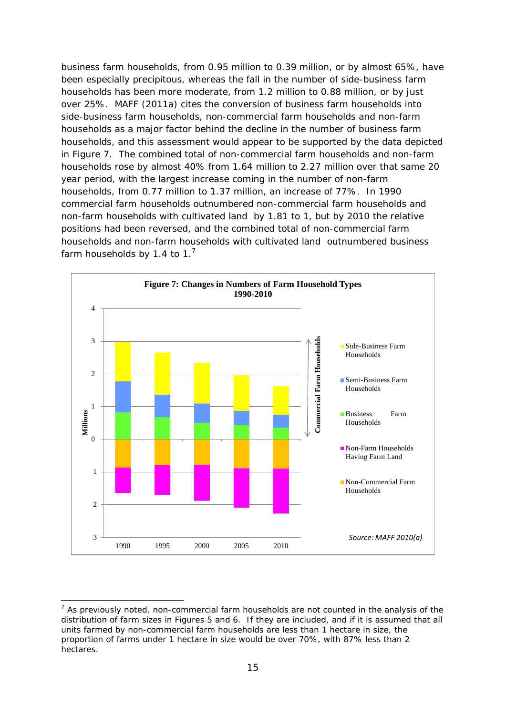business farm households, from 0.95 million to 0.39 million, or by almost 65%, have been especially precipitous, whereas the fall in the number of side-business farm households has been more moderate, from 1.2 million to 0.88 million, or by just over 25%. MAFF (2011a) cites the conversion of business farm households into side-business farm households, non-commercial farm households and non-farm households as a major factor behind the decline in the number of business farm households, and this assessment would appear to be supported by the data depicted in Figure 7. The combined total of non-commercial farm households and non-farm households rose by almost 40% from 1.64 million to 2.27 million over that same 20 year period, with the largest increase coming in the number of non-farm households, from 0.77 million to 1.37 million, an increase of 77%. In 1990 commercial farm households outnumbered non-commercial farm households and non-farm households with cultivated land by 1.81 to 1, but by 2010 the relative positions had been reversed, and the combined total of non-commercial farm households and non-farm households with cultivated land outnumbered business farm households by 1.4 to 1. $<sup>7</sup>$  $<sup>7</sup>$  $<sup>7</sup>$ </sup>



<u>.</u>

<span id="page-16-0"></span> $<sup>7</sup>$  As previously noted, non-commercial farm households are not counted in the analysis of the</sup> distribution of farm sizes in Figures 5 and 6. If they are included, and if it is assumed that all units farmed by non-commercial farm households are less than 1 hectare in size, the proportion of farms under 1 hectare in size would be over 70%, with 87% less than 2 hectares.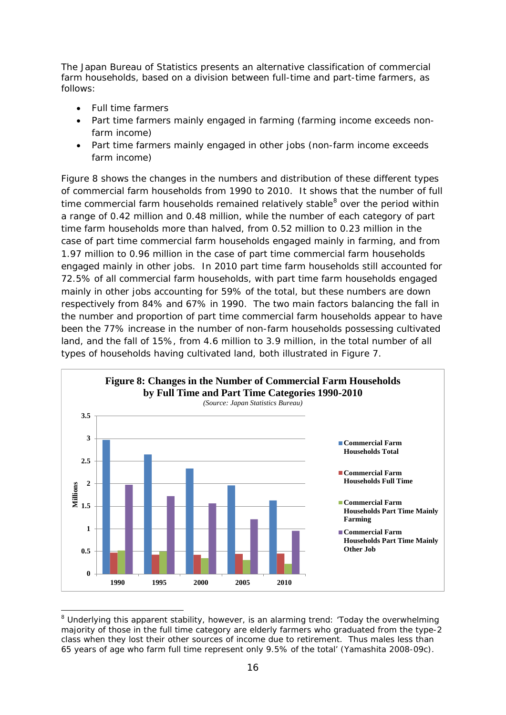The Japan Bureau of Statistics presents an alternative classification of commercial farm households, based on a division between full-time and part-time farmers, as follows:

• Full time farmers

<u>.</u>

- Part time farmers mainly engaged in farming (farming income exceeds nonfarm income)
- Part time farmers mainly engaged in other jobs (non-farm income exceeds farm income)

Figure 8 shows the changes in the numbers and distribution of these different types of commercial farm households from 1990 to 2010. It shows that the number of full time commercial farm households remained relatively stable $8$  over the period within a range of 0.42 million and 0.48 million, while the number of each category of part time farm households more than halved, from 0.52 million to 0.23 million in the case of part time commercial farm households engaged mainly in farming, and from 1.97 million to 0.96 million in the case of part time commercial farm households engaged mainly in other jobs. In 2010 part time farm households still accounted for 72.5% of all commercial farm households, with part time farm households engaged mainly in other jobs accounting for 59% of the total, but these numbers are down respectively from 84% and 67% in 1990. The two main factors balancing the fall in the number and proportion of part time commercial farm households appear to have been the 77% increase in the number of non-farm households possessing cultivated land, and the fall of 15%, from 4.6 million to 3.9 million, in the total number of all types of households having cultivated land, both illustrated in Figure 7.



<span id="page-17-0"></span><sup>&</sup>lt;sup>8</sup> Underlying this apparent stability, however, is an alarming trend: 'Today the overwhelming majority of those in the full time category are elderly farmers who graduated from the type-2 class when they lost their other sources of income due to retirement. Thus males less than 65 years of age who farm full time represent only 9.5% of the total' (Yamashita 2008-09c).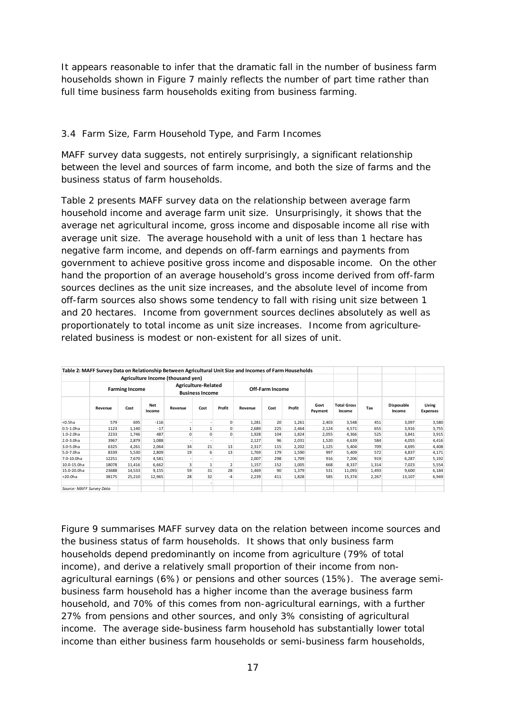It appears reasonable to infer that the dramatic fall in the number of business farm households shown in Figure 7 mainly reflects the number of part time rather than full time business farm households exiting from business farming.

#### *3.4 Farm Size, Farm Household Type, and Farm Incomes*

MAFF survey data suggests, not entirely surprisingly, a significant relationship between the level and sources of farm income, and both the size of farms and the business status of farm households.

Table 2 presents MAFF survey data on the relationship between average farm household income and average farm unit size. Unsurprisingly, it shows that the average net agricultural income, gross income and disposable income all rise with average unit size. The average household with a unit of less than 1 hectare has negative farm income, and depends on off-farm earnings and payments from government to achieve positive gross income and disposable income. On the other hand the proportion of an average household's gross income derived from off-farm sources declines as the unit size increases, and the absolute level of income from off-farm sources also shows some tendency to fall with rising unit size between 1 and 20 hectares. Income from government sources declines absolutely as well as proportionately to total income as unit size increases. Income from agriculturerelated business is modest or non-existent for all sizes of unit.

|                          | Table 2: MAFF Survey Data on Relationship Between Agricultural Unit Size and Incomes of Farm Households |        |               |                                               |      |             |                 |      |        |                 |                              |       |                      |                           |
|--------------------------|---------------------------------------------------------------------------------------------------------|--------|---------------|-----------------------------------------------|------|-------------|-----------------|------|--------|-----------------|------------------------------|-------|----------------------|---------------------------|
|                          |                                                                                                         |        |               | Agriculture Income (thousand yen)             |      |             |                 |      |        |                 |                              |       |                      |                           |
|                          | <b>Farming Income</b>                                                                                   |        |               | Agriculture-Related<br><b>Business Income</b> |      |             | Off-Farm Income |      |        |                 |                              |       |                      |                           |
|                          | Revenue                                                                                                 | Cost   | Net<br>Income | Revenue                                       | Cost | Profit      | Revenue         | Cost | Profit | Govt<br>Payment | <b>Total Gross</b><br>Income | Tax   | Disposable<br>Income | Living<br><b>Expenses</b> |
| $0.5ha$                  | 579                                                                                                     | 695    | $-116$        |                                               |      | $\mathbf 0$ | 1,281           | 20   | 1,261  | 2,403           | 3,548                        | 451   | 3,097                | 3,580                     |
| $0.5 - 1.0 h$ a          | 1123                                                                                                    | 1,140  | $-17$         |                                               |      | 0           | 2,689           | 225  | 2,464  | 2,124           | 4,571                        | 655   | 3,916                | 3,755                     |
| $1.0 - 2.0 h$ a          | 2233                                                                                                    | 1,746  | 487           | O                                             | O    | 0           | 1,928           | 104  | 1,824  | 2,055           | 4,366                        | 525   | 3,841                | 3,915                     |
| $2.0 - 3.0 h$ a          | 3967                                                                                                    | 2,879  | 1,088         |                                               |      |             | 2,127           | 96   | 2,031  | 1,520           | 4,639                        | 584   | 4,055                | 4,416                     |
| 3.0-5.0ha                | 6325                                                                                                    | 4,261  | 2,064         | 34                                            | 21   | 13          | 2,317           | 115  | 2,202  | 1,125           | 5,404                        | 709   | 4,695                | 4,408                     |
| 5.0-7.0ha                | 8339                                                                                                    | 5,530  | 2,809         | 19                                            | 6    | 13          | 1.769           | 179  | 1,590  | 997             | 5,409                        | 572   | 4,837                | 4,171                     |
| 7.0-10.0ha               | 12251                                                                                                   | 7,670  | 4,581         |                                               |      |             | 2.007           | 298  | 1,709  | 916             | 7,206                        | 919   | 6,287                | 5,192                     |
| 10.0-15.0ha              | 18078                                                                                                   | 11,416 | 6,662         |                                               |      |             | 1,157           | 152  | 1,005  | 668             | 8,337                        | 1,314 | 7,023                | 5,554                     |
| 15.0-20.0ha              | 23688                                                                                                   | 14,533 | 9,155         | 59                                            | 31   | 28          | 1,469           | 90   | 1,379  | 531             | 11,093                       | 1,493 | 9,600                | 6,184                     |
| >20.0ha                  | 38175                                                                                                   | 25,210 | 12,965        | 28                                            | 32   | $-4$        | 2,239           | 411  | 1,828  | 585             | 15,374                       | 2,267 | 13,107               | 6,949                     |
| Source: MAFF Survey Data |                                                                                                         |        |               |                                               |      |             |                 |      |        |                 |                              |       |                      |                           |

Figure 9 summarises MAFF survey data on the relation between income sources and the business status of farm households. It shows that only business farm households depend predominantly on income from agriculture (79% of total income), and derive a relatively small proportion of their income from nonagricultural earnings (6%) or pensions and other sources (15%). The average semibusiness farm household has a higher income than the average business farm household, and 70% of this comes from non-agricultural earnings, with a further 27% from pensions and other sources, and only 3% consisting of agricultural income. The average side-business farm household has substantially lower total income than either business farm households or semi-business farm households,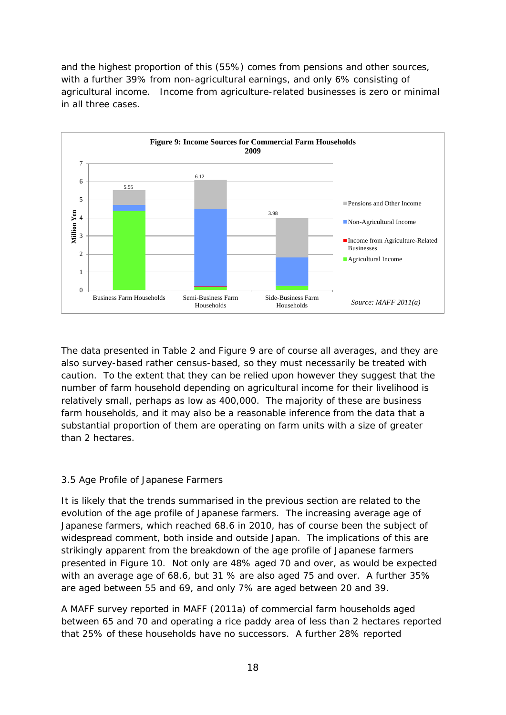and the highest proportion of this (55%) comes from pensions and other sources, with a further 39% from non-agricultural earnings, and only 6% consisting of agricultural income. Income from agriculture-related businesses is zero or minimal in all three cases.



The data presented in Table 2 and Figure 9 are of course all averages, and they are also survey-based rather census-based, so they must necessarily be treated with caution. To the extent that they can be relied upon however they suggest that the number of farm household depending on agricultural income for their livelihood is relatively small, perhaps as low as 400,000. The majority of these are business farm households, and it may also be a reasonable inference from the data that a substantial proportion of them are operating on farm units with a size of greater than 2 hectares.

#### *3.5 Age Profile of Japanese Farmers*

It is likely that the trends summarised in the previous section are related to the evolution of the age profile of Japanese farmers. The increasing average age of Japanese farmers, which reached 68.6 in 2010, has of course been the subject of widespread comment, both inside and outside Japan. The implications of this are strikingly apparent from the breakdown of the age profile of Japanese farmers presented in Figure 10. Not only are 48% aged 70 and over, as would be expected with an average age of 68.6, but 31 % are also aged 75 and over. A further 35% are aged between 55 and 69, and only 7% are aged between 20 and 39.

A MAFF survey reported in MAFF (2011a) of commercial farm households aged between 65 and 70 and operating a rice paddy area of less than 2 hectares reported that 25% of these households have no successors. A further 28% reported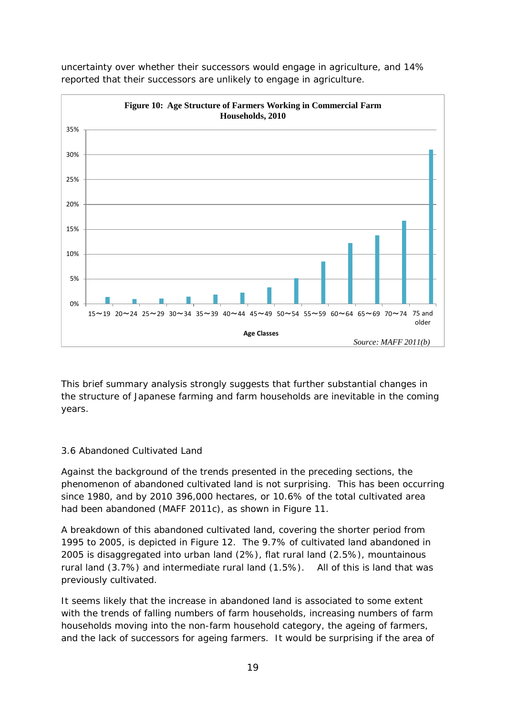

uncertainty over whether their successors would engage in agriculture, and 14% reported that their successors are unlikely to engage in agriculture.

This brief summary analysis strongly suggests that further substantial changes in the structure of Japanese farming and farm households are inevitable in the coming years.

#### *3.6 Abandoned Cultivated Land*

Against the background of the trends presented in the preceding sections, the phenomenon of abandoned cultivated land is not surprising. This has been occurring since 1980, and by 2010 396,000 hectares, or 10.6% of the total cultivated area had been abandoned (MAFF 2011c), as shown in Figure 11.

A breakdown of this abandoned cultivated land, covering the shorter period from 1995 to 2005, is depicted in Figure 12. The 9.7% of cultivated land abandoned in 2005 is disaggregated into urban land (2%), flat rural land (2.5%), mountainous rural land (3.7%) and intermediate rural land (1.5%). All of this is land that was previously cultivated.

It seems likely that the increase in abandoned land is associated to some extent with the trends of falling numbers of farm households, increasing numbers of farm households moving into the non-farm household category, the ageing of farmers, and the lack of successors for ageing farmers. It would be surprising if the area of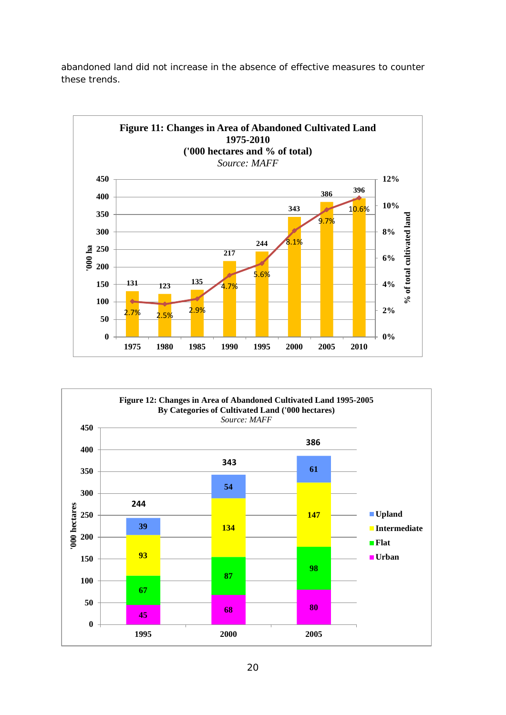



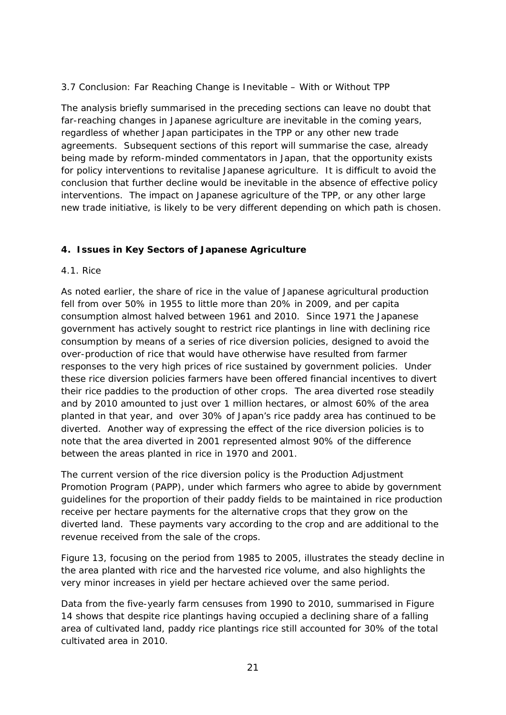#### *3.7 Conclusion: Far Reaching Change is Inevitable – With or Without TPP*

The analysis briefly summarised in the preceding sections can leave no doubt that far-reaching changes in Japanese agriculture are inevitable in the coming years, regardless of whether Japan participates in the TPP or any other new trade agreements. Subsequent sections of this report will summarise the case, already being made by reform-minded commentators in Japan, that the opportunity exists for policy interventions to revitalise Japanese agriculture. It is difficult to avoid the conclusion that further decline would be inevitable in the absence of effective policy interventions. The impact on Japanese agriculture of the TPP, or any other large new trade initiative, is likely to be very different depending on which path is chosen.

#### **4. Issues in Key Sectors of Japanese Agriculture**

#### *4.1. Rice*

As noted earlier, the share of rice in the value of Japanese agricultural production fell from over 50% in 1955 to little more than 20% in 2009, and per capita consumption almost halved between 1961 and 2010. Since 1971 the Japanese government has actively sought to restrict rice plantings in line with declining rice consumption by means of a series of rice diversion policies, designed to avoid the over-production of rice that would have otherwise have resulted from farmer responses to the very high prices of rice sustained by government policies. Under these rice diversion policies farmers have been offered financial incentives to divert their rice paddies to the production of other crops. The area diverted rose steadily and by 2010 amounted to just over 1 million hectares, or almost 60% of the area planted in that year, and over 30% of Japan's rice paddy area has continued to be diverted. Another way of expressing the effect of the rice diversion policies is to note that the area diverted in 2001 represented almost 90% of the difference between the areas planted in rice in 1970 and 2001.

The current version of the rice diversion policy is the Production Adjustment Promotion Program (PAPP), under which farmers who agree to abide by government guidelines for the proportion of their paddy fields to be maintained in rice production receive per hectare payments for the alternative crops that they grow on the diverted land. These payments vary according to the crop and are additional to the revenue received from the sale of the crops.

Figure 13, focusing on the period from 1985 to 2005, illustrates the steady decline in the area planted with rice and the harvested rice volume, and also highlights the very minor increases in yield per hectare achieved over the same period.

Data from the five-yearly farm censuses from 1990 to 2010, summarised in Figure 14 shows that despite rice plantings having occupied a declining share of a falling area of cultivated land, paddy rice plantings rice still accounted *for* 30% of the total cultivated area in 2010.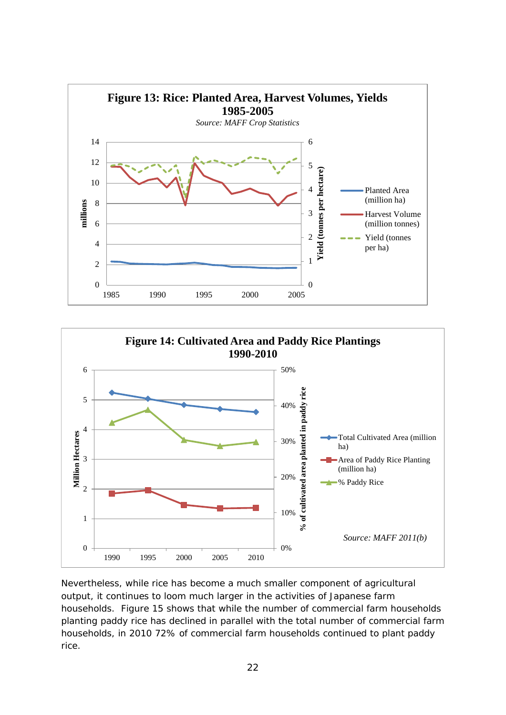



Nevertheless, while rice has become a much smaller component of agricultural output, it continues to loom much larger in the activities of Japanese farm households. Figure 15 shows that while the number of commercial farm households planting paddy rice has declined in parallel with the total number of commercial farm households, in 2010 72% of commercial farm households continued to plant paddy rice.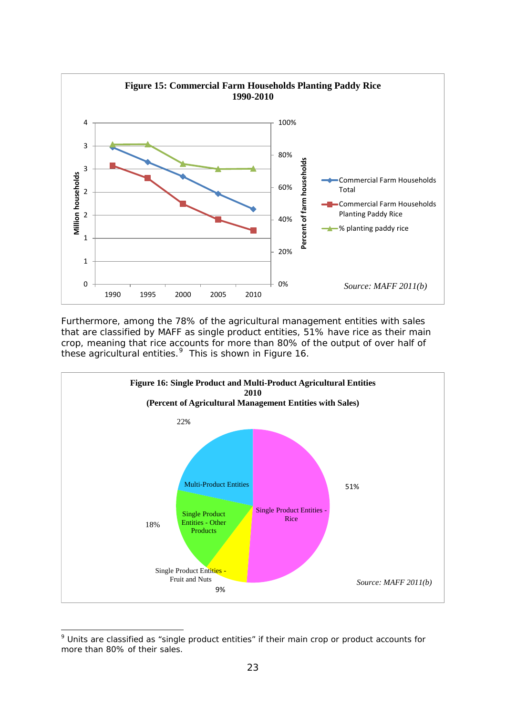

Furthermore, among the 78% of the agricultural management entities with sales that are classified by MAFF as single product entities, 51% have rice as their main crop, meaning that rice accounts for more than 80% of the output of over half of these agricultural entities.<sup>[9](#page-24-0)</sup> This is shown in Figure 16.



<span id="page-24-0"></span><sup>-</sup><sup>9</sup> Units are classified as "single product entities" if their main crop or product accounts for more than 80% of their sales.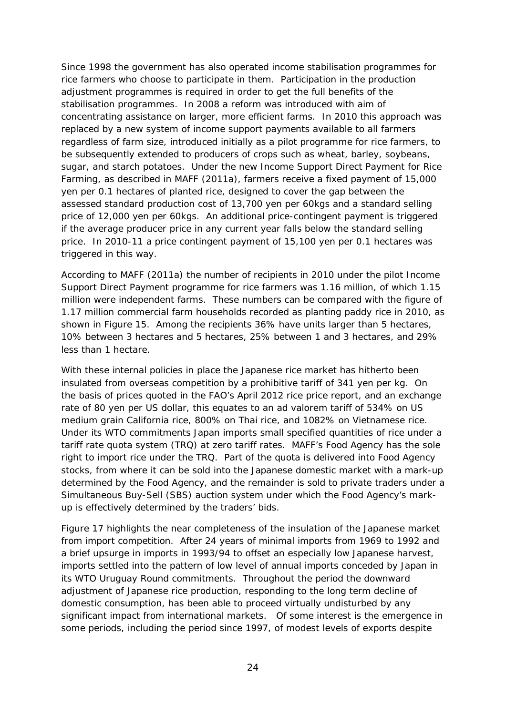Since 1998 the government has also operated income stabilisation programmes for rice farmers who choose to participate in them. Participation in the production adjustment programmes is required in order to get the full benefits of the stabilisation programmes. In 2008 a reform was introduced with aim of concentrating assistance on larger, more efficient farms. In 2010 this approach was replaced by a new system of income support payments available to all farmers regardless of farm size, introduced initially as a pilot programme for rice farmers, to be subsequently extended to producers of crops such as wheat, barley, soybeans, sugar, and starch potatoes. Under the new Income Support Direct Payment for Rice Farming, as described in MAFF (2011a), farmers receive a fixed payment of 15,000 yen per 0.1 hectares of planted rice, designed to cover the gap between the assessed standard production cost of 13,700 yen per 60kgs and a standard selling price of 12,000 yen per 60kgs. An additional price-contingent payment is triggered if the average producer price in any current year falls below the standard selling price. In 2010-11 a price contingent payment of 15,100 yen per 0.1 hectares was triggered in this way.

According to MAFF (2011a) the number of recipients in 2010 under the pilot Income Support Direct Payment programme for rice farmers was 1.16 million, of which 1.15 million were independent farms. These numbers can be compared with the figure of 1.17 million commercial farm households recorded as planting paddy rice in 2010, as shown in Figure 15. Among the recipients 36% have units larger than 5 hectares, 10% between 3 hectares and 5 hectares, 25% between 1 and 3 hectares, and 29% less than 1 hectare.

With these internal policies in place the Japanese rice market has hitherto been insulated from overseas competition by a prohibitive tariff of 341 yen per kg. On the basis of prices quoted in the FAO's April 2012 rice price report, and an exchange rate of 80 yen per US dollar, this equates to an *ad valorem* tariff of 534% on US medium grain California rice, 800% on Thai rice, and 1082% on Vietnamese rice. Under its WTO commitments Japan imports small specified quantities of rice under a tariff rate quota system (TRQ) at zero tariff rates. MAFF's Food Agency has the sole right to import rice under the TRQ. Part of the quota is delivered into Food Agency stocks, from where it can be sold into the Japanese domestic market with a mark-up determined by the Food Agency, and the remainder is sold to private traders under a Simultaneous Buy-Sell (SBS) auction system under which the Food Agency's markup is effectively determined by the traders' bids.

Figure 17 highlights the near completeness of the insulation of the Japanese market from import competition. After 24 years of minimal imports from 1969 to 1992 and a brief upsurge in imports in 1993/94 to offset an especially low Japanese harvest, imports settled into the pattern of low level of annual imports conceded by Japan in its WTO Uruguay Round commitments. Throughout the period the downward adjustment of Japanese rice production, responding to the long term decline of domestic consumption, has been able to proceed virtually undisturbed by any significant impact from international markets. Of some interest is the emergence in some periods, including the period since 1997, of modest levels of exports despite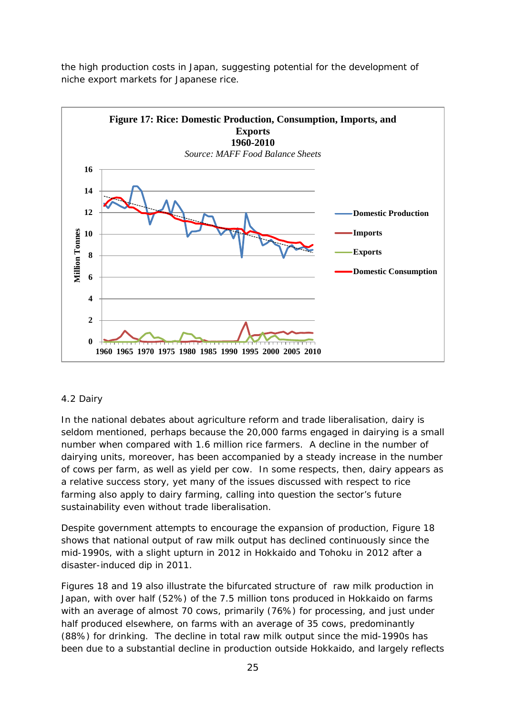the high production costs in Japan, suggesting potential for the development of niche export markets for Japanese rice.



#### *4.2 Dairy*

In the national debates about agriculture reform and trade liberalisation, dairy is seldom mentioned, perhaps because the 20,000 farms engaged in dairying is a small number when compared with 1.6 million rice farmers. A decline in the number of dairying units, moreover, has been accompanied by a steady increase in the number of cows per farm, as well as yield per cow. In some respects, then, dairy appears as a relative success story, yet many of the issues discussed with respect to rice farming also apply to dairy farming, calling into question the sector's future sustainability even without trade liberalisation.

Despite government attempts to encourage the expansion of production, Figure 18 shows that national output of raw milk output has declined continuously since the mid-1990s, with a slight upturn in 2012 in Hokkaido and Tohoku in 2012 after a disaster-induced dip in 2011.

Figures 18 and 19 also illustrate the bifurcated structure of raw milk production in Japan, with over half (52%) of the 7.5 million tons produced in Hokkaido on farms with an average of almost 70 cows, primarily (76%) for processing, and just under half produced elsewhere, on farms with an average of 35 cows, predominantly (88%) for drinking. The decline in total raw milk output since the mid-1990s has been due to a substantial decline in production outside Hokkaido, and largely reflects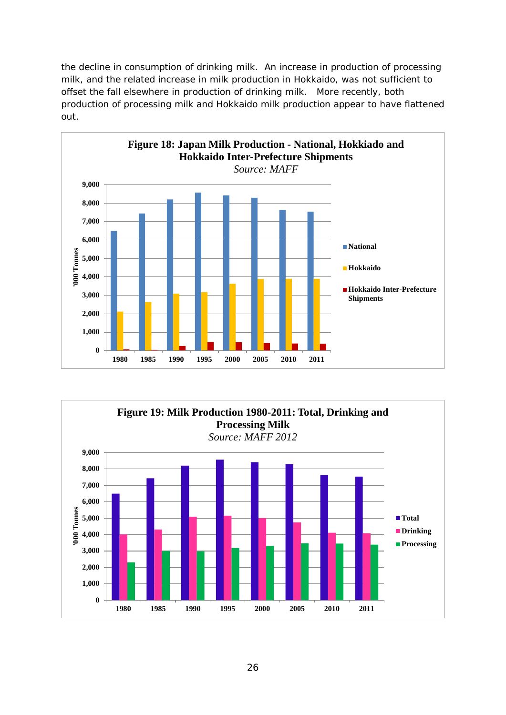the decline in consumption of drinking milk. An increase in production of processing milk, and the related increase in milk production in Hokkaido, was not sufficient to offset the fall elsewhere in production of drinking milk. More recently, both production of processing milk and Hokkaido milk production appear to have flattened out.



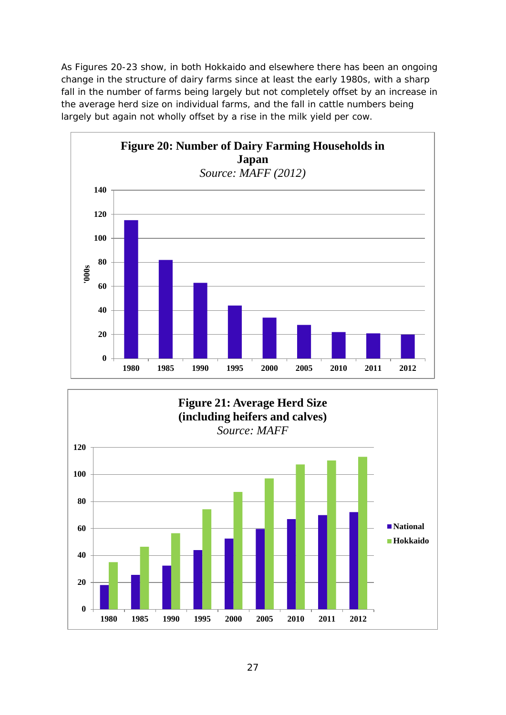As Figures 20-23 show, in both Hokkaido and elsewhere there has been an ongoing change in the structure of dairy farms since at least the early 1980s, with a sharp fall in the number of farms being largely but not completely offset by an increase in the average herd size on individual farms, and the fall in cattle numbers being largely but again not wholly offset by a rise in the milk yield per cow.



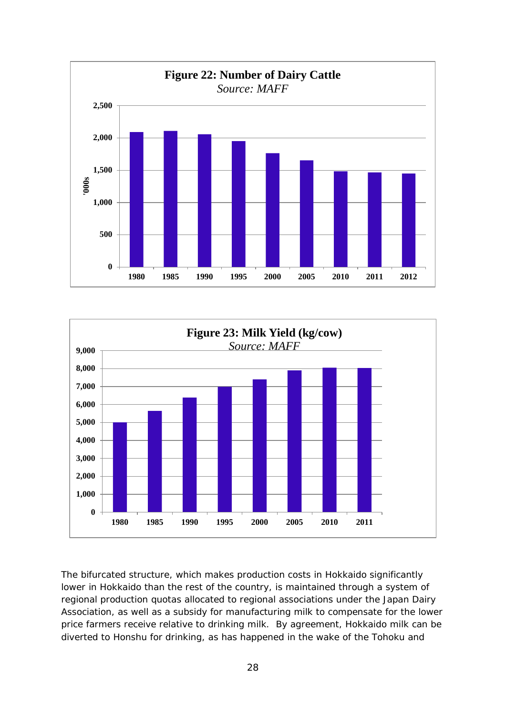



The bifurcated structure, which makes production costs in Hokkaido significantly lower in Hokkaido than the rest of the country, is maintained through a system of regional production quotas allocated to regional associations under the Japan Dairy Association, as well as a subsidy for manufacturing milk to compensate for the lower price farmers receive relative to drinking milk. By agreement, Hokkaido milk can be diverted to Honshu for drinking, as has happened in the wake of the Tohoku and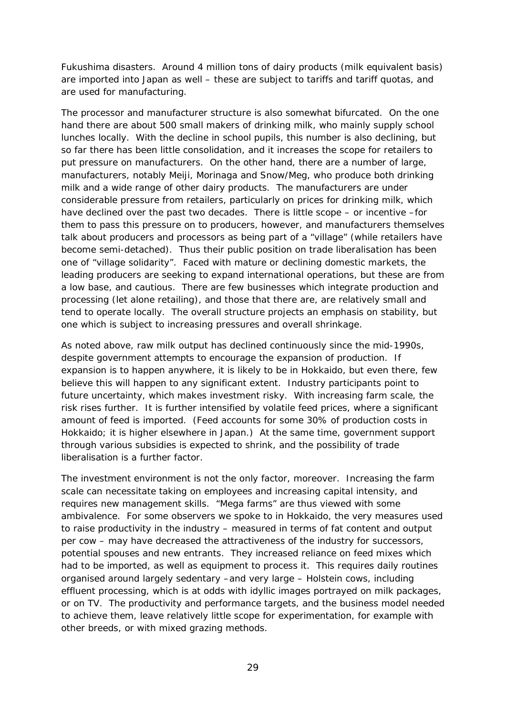Fukushima disasters. Around 4 million tons of dairy products (milk equivalent basis) are imported into Japan as well – these are subject to tariffs and tariff quotas, and are used for manufacturing.

The processor and manufacturer structure is also somewhat bifurcated. On the one hand there are about 500 small makers of drinking milk, who mainly supply school lunches locally. With the decline in school pupils, this number is also declining, but so far there has been little consolidation, and it increases the scope for retailers to put pressure on manufacturers. On the other hand, there are a number of large, manufacturers, notably Meiji, Morinaga and Snow/Meg, who produce both drinking milk and a wide range of other dairy products. The manufacturers are under considerable pressure from retailers, particularly on prices for drinking milk, which have declined over the past two decades. There is little scope – or incentive –for them to pass this pressure on to producers, however, and manufacturers themselves talk about producers and processors as being part of a "village" (while retailers have become semi-detached). Thus their public position on trade liberalisation has been one of "village solidarity". Faced with mature or declining domestic markets, the leading producers are seeking to expand international operations, but these are from a low base, and cautious. There are few businesses which integrate production and processing (let alone retailing), and those that there are, are relatively small and tend to operate locally. The overall structure projects an emphasis on stability, but one which is subject to increasing pressures and overall shrinkage.

As noted above, raw milk output has declined continuously since the mid-1990s, despite government attempts to encourage the expansion of production. If expansion is to happen anywhere, it is likely to be in Hokkaido, but even there, few believe this will happen to any significant extent. Industry participants point to future uncertainty, which makes investment risky. With increasing farm scale, the risk rises further. It is further intensified by volatile feed prices, where a significant amount of feed is imported. (Feed accounts for some 30% of production costs in Hokkaido; it is higher elsewhere in Japan.) At the same time, government support through various subsidies is expected to shrink, and the possibility of trade liberalisation is a further factor.

The investment environment is not the only factor, moreover. Increasing the farm scale can necessitate taking on employees and increasing capital intensity, and requires new management skills. "Mega farms" are thus viewed with some ambivalence. For some observers we spoke to in Hokkaido, the very measures used to raise productivity in the industry – measured in terms of fat content and output per cow – may have decreased the attractiveness of the industry for successors, potential spouses and new entrants. They increased reliance on feed mixes which had to be imported, as well as equipment to process it. This requires daily routines organised around largely sedentary –and very large – Holstein cows, including effluent processing, which is at odds with idyllic images portrayed on milk packages, or on TV. The productivity and performance targets, and the business model needed to achieve them, leave relatively little scope for experimentation, for example with other breeds, or with mixed grazing methods.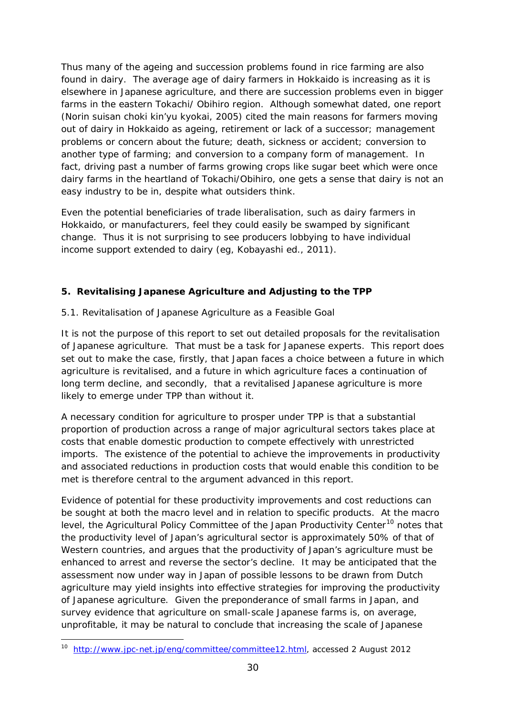Thus many of the ageing and succession problems found in rice farming are also found in dairy. The average age of dairy farmers in Hokkaido is increasing as it is elsewhere in Japanese agriculture, and there are succession problems even in bigger farms in the eastern Tokachi/ Obihiro region. Although somewhat dated, one report (Norin suisan choki kin'yu kyokai, 2005) cited the main reasons for farmers moving out of dairy in Hokkaido as ageing, retirement or lack of a successor; management problems or concern about the future; death, sickness or accident; conversion to another type of farming; and conversion to a company form of management. In fact, driving past a number of farms growing crops like sugar beet which were once dairy farms in the heartland of Tokachi/Obihiro, one gets a sense that dairy is not an easy industry to be in, despite what outsiders think.

Even the potential beneficiaries of trade liberalisation, such as dairy farmers in Hokkaido, or manufacturers, feel they could easily be swamped by significant change. Thus it is not surprising to see producers lobbying to have individual income support extended to dairy (eg, Kobayashi ed., 2011).

#### **5. Revitalising Japanese Agriculture and Adjusting to the TPP**

#### *5.1. Revitalisation of Japanese Agriculture as a Feasible Goal*

It is not the purpose of this report to set out detailed proposals for the revitalisation of Japanese agriculture. That must be a task for Japanese experts. This report does set out to make the case, firstly, that Japan faces a choice between a future in which agriculture is revitalised, and a future in which agriculture faces a continuation of long term decline, and secondly, that a revitalised Japanese agriculture is more likely to emerge under TPP than without it.

A necessary condition for agriculture to prosper under TPP is that a substantial proportion of production across a range of major agricultural sectors takes place at costs that enable domestic production to compete effectively with unrestricted imports. The existence of the potential to achieve the improvements in productivity and associated reductions in production costs that would enable this condition to be met is therefore central to the argument advanced in this report.

Evidence of potential for these productivity improvements and cost reductions can be sought at both the macro level and in relation to specific products. At the macro level, the Agricultural Policy Committee of the Japan Productivity Center<sup>[10](#page-31-0)</sup> notes that the productivity level of Japan's agricultural sector is approximately 50% of that of Western countries, and argues that the productivity of Japan's agriculture must be enhanced to arrest and reverse the sector's decline. It may be anticipated that the assessment now under way in Japan of possible lessons to be drawn from Dutch agriculture may yield insights into effective strategies for improving the productivity of Japanese agriculture. Given the preponderance of small farms in Japan, and survey evidence that agriculture on small-scale Japanese farms is, on average, unprofitable, it may be natural to conclude that increasing the scale of Japanese

<span id="page-31-0"></span> $10<sup>1</sup>$ <sup>10</sup> [http://www.jpc-net.jp/eng/committee/committee12.html,](http://www.jpc-net.jp/eng/committee/committee12.html) accessed 2 August 2012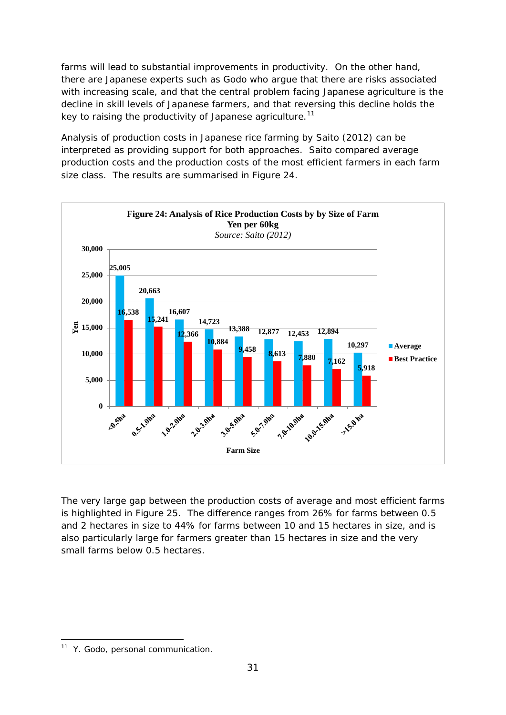farms will lead to substantial improvements in productivity. On the other hand, there are Japanese experts such as Godo who argue that there are risks associated with increasing scale, and that the central problem facing Japanese agriculture is the decline in skill levels of Japanese farmers, and that reversing this decline holds the key to raising the productivity of Japanese agriculture.<sup>[11](#page-32-0)</sup>

Analysis of production costs in Japanese rice farming by Saito (2012) can be interpreted as providing support for both approaches. Saito compared average production costs and the production costs of the most efficient farmers in each farm size class. The results are summarised in Figure 24.



The very large gap between the production costs of average and most efficient farms is highlighted in Figure 25. The difference ranges from 26% for farms between 0.5 and 2 hectares in size to 44% for farms between 10 and 15 hectares in size, and is also particularly large for farmers greater than 15 hectares in size and the very small farms below 0.5 hectares.

<span id="page-32-0"></span><sup>&</sup>lt;u>.</u> <sup>11</sup> Y. Godo, personal communication.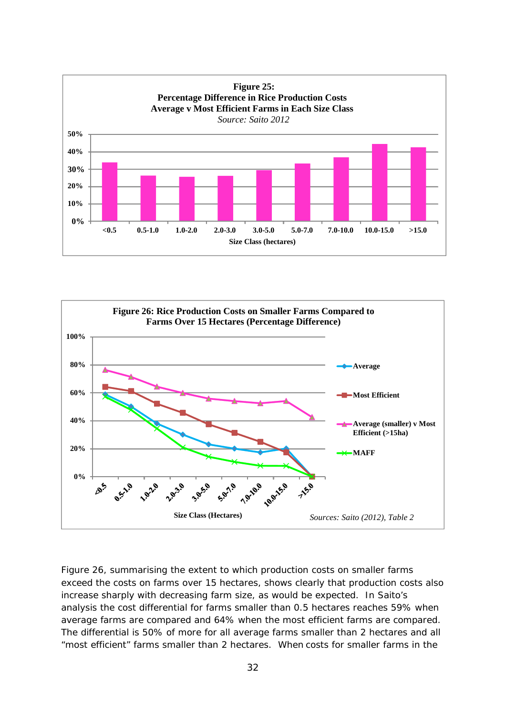![](_page_33_Figure_0.jpeg)

![](_page_33_Figure_1.jpeg)

Figure 26, summarising the extent to which production costs on smaller farms exceed the costs on farms over 15 hectares, shows clearly that production costs also increase sharply with decreasing farm size, as would be expected. In Saito's analysis the cost differential for farms smaller than 0.5 hectares reaches 59% when average farms are compared and 64% when the most efficient farms are compared. The differential is 50% of more for all average farms smaller than 2 hectares and all "most efficient" farms smaller than 2 hectares. When costs for smaller farms in the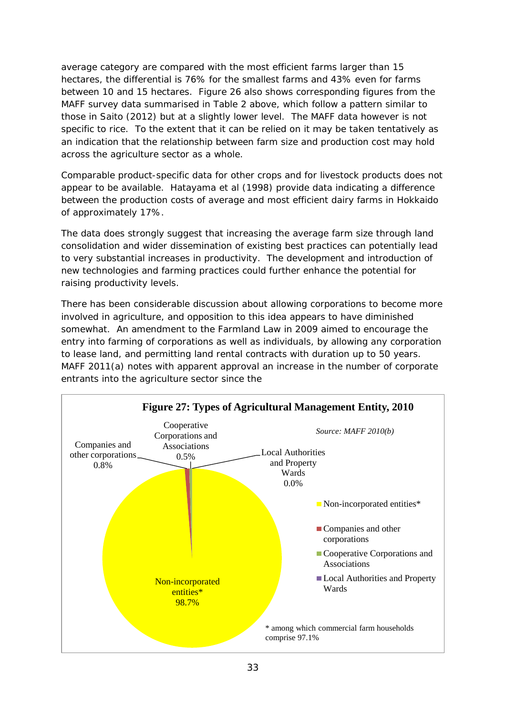average category are compared with the most efficient farms larger than 15 hectares, the differential is 76% for the smallest farms and 43% even for farms between 10 and 15 hectares. Figure 26 also shows corresponding figures from the MAFF survey data summarised in Table 2 above, which follow a pattern similar to those in Saito (2012) but at a slightly lower level. The MAFF data however is not specific to rice. To the extent that it can be relied on it may be taken tentatively as an indication that the relationship between farm size and production cost may hold across the agriculture sector as a whole.

Comparable product-specific data for other crops and for livestock products does not appear to be available. Hatayama et al (1998) provide data indicating a difference between the production costs of average and most efficient dairy farms in Hokkaido of approximately 17%.

The data does strongly suggest that increasing the average farm size through land consolidation and wider dissemination of existing best practices can potentially lead to very substantial increases in productivity. The development and introduction of new technologies and farming practices could further enhance the potential for raising productivity levels.

There has been considerable discussion about allowing corporations to become more involved in agriculture, and opposition to this idea appears to have diminished somewhat. An amendment to the Farmland Law in 2009 aimed to encourage the entry into farming of corporations as well as individuals, by allowing any corporation to lease land, and permitting land rental contracts with duration up to 50 years. MAFF 2011(a) notes with apparent approval an increase in the number of corporate entrants into the agriculture sector since the

![](_page_34_Figure_4.jpeg)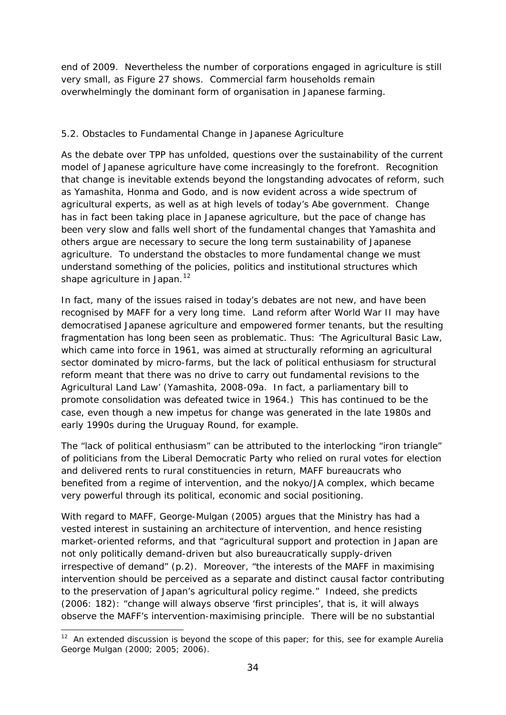end of 2009. Nevertheless the number of corporations engaged in agriculture is still very small, as Figure 27 shows. Commercial farm households remain overwhelmingly the dominant form of organisation in Japanese farming.

#### *5.2. Obstacles to Fundamental Change in Japanese Agriculture*

As the debate over TPP has unfolded, questions over the sustainability of the current model of Japanese agriculture have come increasingly to the forefront. Recognition that change is inevitable extends beyond the longstanding advocates of reform, such as Yamashita, Honma and Godo, and is now evident across a wide spectrum of agricultural experts, as well as at high levels of today's Abe government. Change has in fact been taking place in Japanese agriculture, but the pace of change has been very slow and falls well short of the fundamental changes that Yamashita and others argue are necessary to secure the long term sustainability of Japanese agriculture. To understand the obstacles to more fundamental change we must understand something of the policies, politics and institutional structures which shape agriculture in Japan.<sup>[12](#page-35-0)</sup>

In fact, many of the issues raised in today's debates are not new, and have been recognised by MAFF for a very long time. Land reform after World War II may have democratised Japanese agriculture and empowered former tenants, but the resulting fragmentation has long been seen as problematic. Thus: 'The Agricultural Basic Law, which came into force in 1961, was aimed at structurally reforming an agricultural sector dominated by micro-farms, but the lack of political enthusiasm for structural reform meant that there was no drive to carry out fundamental revisions to the Agricultural Land Law' (Yamashita, 2008-09a. In fact, a parliamentary bill to promote consolidation was defeated twice in 1964.) This has continued to be the case, even though a new impetus for change was generated in the late 1980s and early 1990s during the Uruguay Round, for example.

The "lack of political enthusiasm" can be attributed to the interlocking "iron triangle" of politicians from the Liberal Democratic Party who relied on rural votes for election and delivered rents to rural constituencies in return, MAFF bureaucrats who benefited from a regime of intervention, and the *nokyo*/JA complex, which became very powerful through its political, economic and social positioning.

With regard to MAFF, George-Mulgan (2005) argues that the Ministry has had a vested interest in sustaining an architecture of intervention, and hence resisting market-oriented reforms, and that "agricultural support and protection in Japan are *not only politically demand-driven but also bureaucratically supply-driven* irrespective of demand" (p.2). Moreover, "the interests of the MAFF in maximising intervention should be perceived as a separate and distinct causal factor contributing to the preservation of Japan's agricultural policy regime." Indeed, she predicts (2006: 182): "change will always observe 'first principles', that is, it will always observe the MAFF's intervention-maximising principle. There will be no substantial

<span id="page-35-0"></span><sup>-</sup> $12$  An extended discussion is beyond the scope of this paper; for this, see for example Aurelia George Mulgan (2000; 2005; 2006).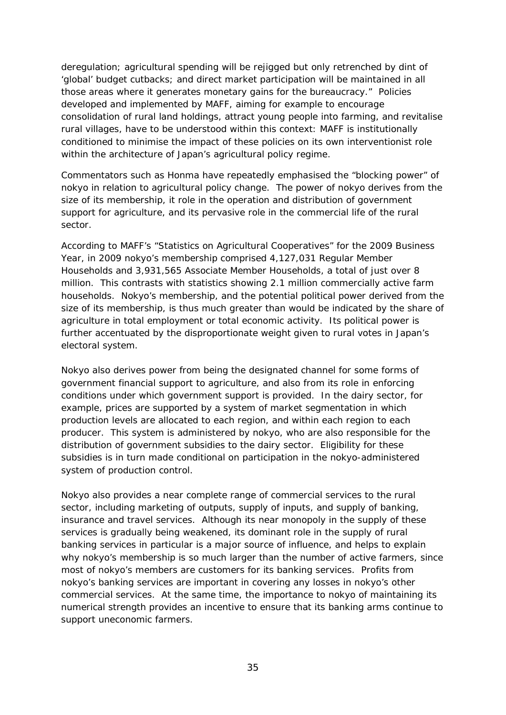deregulation; agricultural spending will be rejigged but only retrenched by dint of 'global' budget cutbacks; and direct market participation will be maintained in all those areas where it generates monetary gains for the bureaucracy." Policies developed and implemented by MAFF, aiming for example to encourage consolidation of rural land holdings, attract young people into farming, and revitalise rural villages, have to be understood within this context: MAFF is institutionally conditioned to minimise the impact of these policies on its own interventionist role within the architecture of Japan's agricultural policy regime.

Commentators such as Honma have repeatedly emphasised the "blocking power" of *nokyo* in relation to agricultural policy change. The power of *nokyo* derives from the size of its membership, it role in the operation and distribution of government support for agriculture, and its pervasive role in the commercial life of the rural sector.

According to MAFF's "Statistics on Agricultural Cooperatives" for the 2009 Business Year, in 2009 *nokyo's* membership comprised 4,127,031 Regular Member Households and 3,931,565 Associate Member Households, a total of just over 8 million. This contrasts with statistics showing 2.1 million commercially active farm households. *Nokyo's* membership, and the potential political power derived from the size of its membership, is thus much greater than would be indicated by the share of agriculture in total employment or total economic activity. Its political power is further accentuated by the disproportionate weight given to rural votes in Japan's electoral system.

*Nokyo* also derives power from being the designated channel for some forms of government financial support to agriculture, and also from its role in enforcing conditions under which government support is provided. In the dairy sector, for example, prices are supported by a system of market segmentation in which production levels are allocated to each region, and within each region to each producer. This system is administered by *nokyo,* who are also responsible for the distribution of government subsidies to the dairy sector. Eligibility for these subsidies is in turn made conditional on participation in the *nokyo*-administered system of production control.

*Nokyo* also provides a near complete range of commercial services to the rural sector, including marketing of outputs, supply of inputs, and supply of banking, insurance and travel services. Although its near monopoly in the supply of these services is gradually being weakened, its dominant role in the supply of rural banking services in particular is a major source of influence, and helps to explain why *nokyo's* membership is so much larger than the number of active farmers, since most of *nokyo's* members are customers for its banking services. Profits from *nokyo's* banking services are important in covering any losses in *nokyo's* other commercial services. At the same time, the importance to *nokyo* of maintaining its numerical strength provides an incentive to ensure that its banking arms continue to support uneconomic farmers.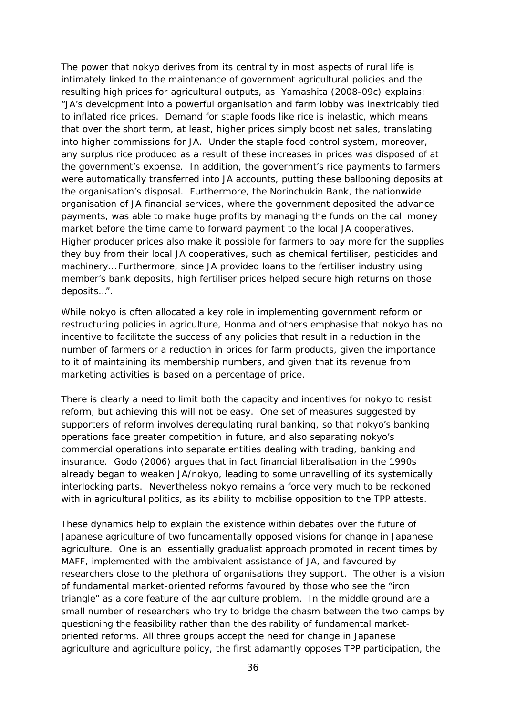The power that *nokyo* derives from its centrality in most aspects of rural life is intimately linked to the maintenance of government agricultural policies and the resulting high prices for agricultural outputs, as Yamashita (2008-09c) explains: "JA's development into a powerful organisation and farm lobby was inextricably tied to inflated rice prices. Demand for staple foods like rice is inelastic, which means that over the short term, at least, higher prices simply boost net sales, translating into higher commissions for JA. Under the staple food control system, moreover, any surplus rice produced as a result of these increases in prices was disposed of at the government's expense. In addition, the government's rice payments to farmers were automatically transferred into JA accounts, putting these ballooning deposits at the organisation's disposal. Furthermore, the Norinchukin Bank, the nationwide organisation of JA financial services, where the government deposited the advance payments, was able to make huge profits by managing the funds on the call money market before the time came to forward payment to the local JA cooperatives. Higher producer prices also make it possible for farmers to pay more for the supplies they buy from their local JA cooperatives, such as chemical fertiliser, pesticides and machinery… Furthermore, since JA provided loans to the fertiliser industry using member's bank deposits, high fertiliser prices helped secure high returns on those deposits…".

While *nokyo* is often allocated a key role in implementing government reform or restructuring policies in agriculture, Honma and others emphasise that *nokyo* has no incentive to facilitate the success of any policies that result in a reduction in the number of farmers or a reduction in prices for farm products, given the importance to it of maintaining its membership numbers, and given that its revenue from marketing activities is based on a percentage of price.

There is clearly a need to limit both the capacity and incentives for *nokyo* to resist reform, but achieving this will not be easy. One set of measures suggested by supporters of reform involves deregulating rural banking, so that *nokyo's* banking operations face greater competition in future, and also separating *nokyo's*  commercial operations into separate entities dealing with trading, banking and insurance. Godo (2006) argues that in fact financial liberalisation in the 1990s already began to weaken JA/*nokyo*, leading to some unravelling of its systemically interlocking parts. Nevertheless *nokyo* remains a force very much to be reckoned with in agricultural politics, as its ability to mobilise opposition to the TPP attests.

These dynamics help to explain the existence within debates over the future of Japanese agriculture of two fundamentally opposed visions for change in Japanese agriculture. One is an essentially gradualist approach promoted in recent times by MAFF, implemented with the ambivalent assistance of JA, and favoured by researchers close to the plethora of organisations they support. The other is a vision of fundamental market-oriented reforms favoured by those who see the "iron triangle" as a core feature of the agriculture problem. In the middle ground are a small number of researchers who try to bridge the chasm between the two camps by questioning the feasibility rather than the desirability of fundamental marketoriented reforms. All three groups accept the need for change in Japanese agriculture and agriculture policy, the first adamantly opposes TPP participation, the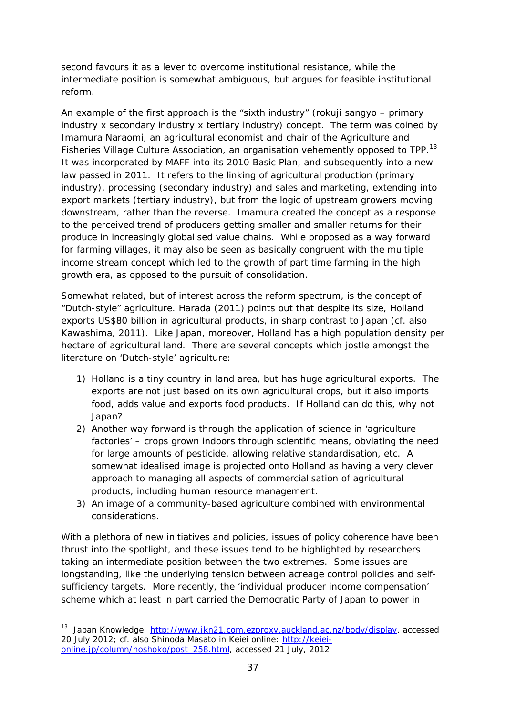second favours it as a lever to overcome institutional resistance, while the intermediate position is somewhat ambiguous, but argues for feasible institutional reform.

An example of the first approach is the "sixth industry" (*rokuji sangyo* – primary industry x secondary industry x tertiary industry) concept. The term was coined by Imamura Naraomi, an agricultural economist and chair of the Agriculture and Fisheries Village Culture Association, an organisation vehemently opposed to TPP.<sup>13</sup> It was incorporated by MAFF into its 2010 Basic Plan, and subsequently into a new law passed in 2011. It refers to the linking of agricultural production (primary industry), processing (secondary industry) and sales and marketing, extending into export markets (tertiary industry), but from the logic of upstream growers moving downstream, rather than the reverse. Imamura created the concept as a response to the perceived trend of producers getting smaller and smaller returns for their produce in increasingly globalised value chains. While proposed as a way forward for farming villages, it may also be seen as basically congruent with the multiple income stream concept which led to the growth of part time farming in the high growth era, as opposed to the pursuit of consolidation.

Somewhat related, but of interest across the reform spectrum, is the concept of "Dutch-style" agriculture. Harada (2011) points out that despite its size, Holland exports US\$80 billion in agricultural products, in sharp contrast to Japan (cf. also Kawashima, 2011). Like Japan, moreover, Holland has a high population density per hectare of agricultural land. There are several concepts which jostle amongst the literature on 'Dutch-style' agriculture:

- 1) Holland is a tiny country in land area, but has huge agricultural exports. The exports are not just based on its own agricultural crops, but it also imports food, adds value and exports food products. If Holland can do this, why not Japan?
- 2) Another way forward is through the application of science in 'agriculture factories' – crops grown indoors through scientific means, obviating the need for large amounts of pesticide, allowing relative standardisation, etc. A somewhat idealised image is projected onto Holland as having a very clever approach to managing all aspects of commercialisation of agricultural products, including human resource management.
- 3) An image of a community-based agriculture combined with environmental considerations.

With a plethora of new initiatives and policies, issues of policy coherence have been thrust into the spotlight, and these issues tend to be highlighted by researchers taking an intermediate position between the two extremes. Some issues are longstanding, like the underlying tension between acreage control policies and selfsufficiency targets. More recently, the 'individual producer income compensation' scheme which at least in part carried the Democratic Party of Japan to power in

-

<span id="page-38-0"></span><sup>&</sup>lt;sup>13</sup> Japan Knowledge: [http://www.jkn21.com.ezproxy.auckland.ac.nz/body/display,](http://www.jkn21.com.ezproxy.auckland.ac.nz/body/display) accessed 20 July 2012; cf. also Shinoda Masato in Keiei online: [http://keiei](http://keiei-online.jp/column/noshoko/post_258.html)[online.jp/column/noshoko/post\\_258.html,](http://keiei-online.jp/column/noshoko/post_258.html) accessed 21 July, 2012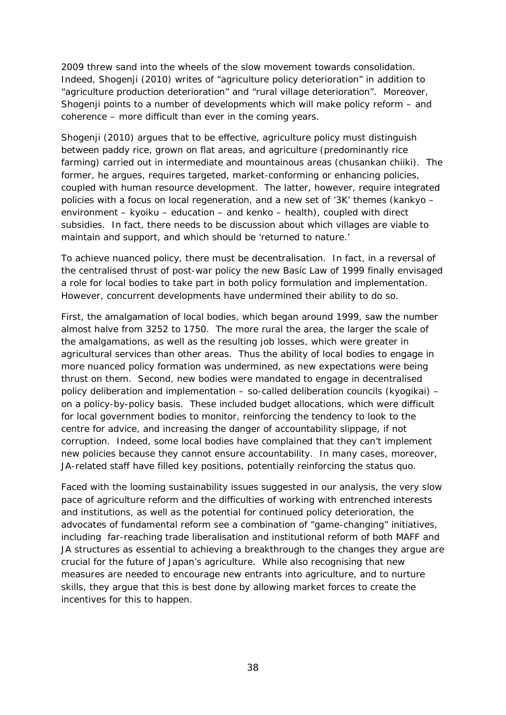2009 threw sand into the wheels of the slow movement towards consolidation. Indeed, Shogenji (2010) writes of "agriculture policy deterioration" in addition to "agriculture production deterioration" and "rural village deterioration". Moreover, Shogenji points to a number of developments which will make policy reform – and coherence – more difficult than ever in the coming years.

Shogenji (2010) argues that to be effective, agriculture policy must distinguish between paddy rice, grown on flat areas, and agriculture (predominantly rice farming) carried out in intermediate and mountainous areas (*chusankan chiiki*). The former, he argues, requires targeted, market-conforming or enhancing policies, coupled with human resource development. The latter, however, require integrated policies with a focus on local regeneration, and a new set of '3K' themes (*kankyo* – environment – *kyoiku* – education – and *kenko* – health), coupled with direct subsidies. In fact, there needs to be discussion about which villages are viable to maintain and support, and which should be 'returned to nature.'

To achieve nuanced policy, there must be decentralisation. In fact, in a reversal of the centralised thrust of post-war policy the new Basic Law of 1999 finally envisaged a role for local bodies to take part in both policy formulation and implementation. However, concurrent developments have undermined their ability to do so.

First, the amalgamation of local bodies, which began around 1999, saw the number almost halve from 3252 to 1750. The more rural the area, the larger the scale of the amalgamations, as well as the resulting job losses, which were greater in agricultural services than other areas. Thus the ability of local bodies to engage in more nuanced policy formation was undermined, as new expectations were being thrust on them. Second, new bodies were mandated to engage in decentralised policy deliberation and implementation – so-called deliberation councils (*kyogikai*) – on a policy-by-policy basis. These included budget allocations, which were difficult for local government bodies to monitor, reinforcing the tendency to look to the centre for advice, and increasing the danger of accountability slippage, if not corruption. Indeed, some local bodies have complained that they can't implement new policies because they cannot ensure accountability. In many cases, moreover, JA-related staff have filled key positions, potentially reinforcing the status quo.

Faced with the looming sustainability issues suggested in our analysis, the very slow pace of agriculture reform and the difficulties of working with entrenched interests and institutions, as well as the potential for continued policy deterioration, the advocates of fundamental reform see a combination of "game-changing" initiatives, including far-reaching trade liberalisation and institutional reform of both MAFF and JA structures as essential to achieving a breakthrough to the changes they argue are crucial for the future of Japan's agriculture. While also recognising that new measures are needed to encourage new entrants into agriculture, and to nurture skills, they argue that this is best done by allowing market forces to create the incentives for this to happen.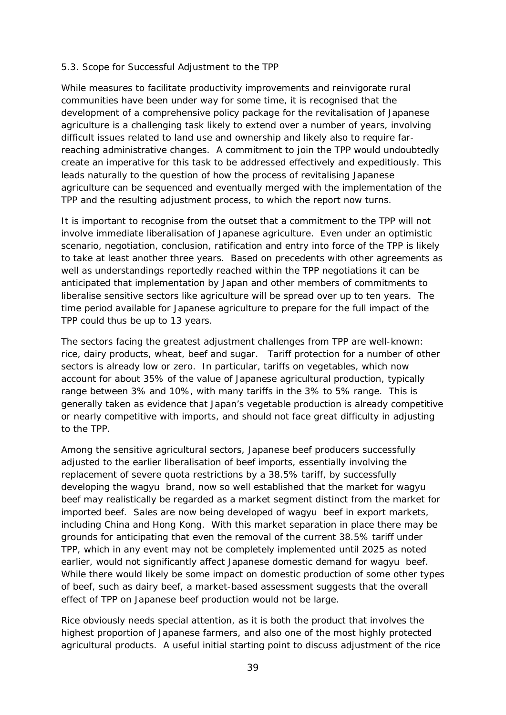#### *5.3. Scope for Successful Adjustment to the TPP*

While measures to facilitate productivity improvements and reinvigorate rural communities have been under way for some time, it is recognised that the development of a comprehensive policy package for the revitalisation of Japanese agriculture is a challenging task likely to extend over a number of years, involving difficult issues related to land use and ownership and likely also to require farreaching administrative changes. A commitment to join the TPP would undoubtedly create an imperative for this task to be addressed effectively and expeditiously. This leads naturally to the question of how the process of revitalising Japanese agriculture can be sequenced and eventually merged with the implementation of the TPP and the resulting adjustment process, to which the report now turns.

It is important to recognise from the outset that a commitment to the TPP will not involve immediate liberalisation of Japanese agriculture. Even under an optimistic scenario, negotiation, conclusion, ratification and entry into force of the TPP is likely to take at least another three years. Based on precedents with other agreements as well as understandings reportedly reached within the TPP negotiations it can be anticipated that implementation by Japan and other members of commitments to liberalise sensitive sectors like agriculture will be spread over up to ten years. The time period available for Japanese agriculture to prepare for the full impact of the TPP could thus be up to 13 years.

The sectors facing the greatest adjustment challenges from TPP are well-known: rice, dairy products, wheat, beef and sugar. Tariff protection for a number of other sectors is already low or zero. In particular, tariffs on vegetables, which now account for about 35% of the value of Japanese agricultural production, typically range between 3% and 10%, with many tariffs in the 3% to 5% range. This is generally taken as evidence that Japan's vegetable production is already competitive or nearly competitive with imports, and should not face great difficulty in adjusting to the TPP.

Among the sensitive agricultural sectors, Japanese beef producers successfully adjusted to the earlier liberalisation of beef imports, essentially involving the replacement of severe quota restrictions by a 38.5% tariff, by successfully developing the *wagyu* brand, now so well established that the market for *wagyu*  beef may realistically be regarded as a market segment distinct from the market for imported beef. Sales are now being developed of *wagyu* beef in export markets, including China and Hong Kong. With this market separation in place there may be grounds for anticipating that even the removal of the current 38.5% tariff under TPP, which in any event may not be completely implemented until 2025 as noted earlier, would not significantly affect Japanese domestic demand for *wagyu* beef. While there would likely be some impact on domestic production of some other types of beef, such as dairy beef, a market-based assessment suggests that the overall effect of TPP on Japanese beef production would not be large.

Rice obviously needs special attention, as it is both the product that involves the highest proportion of Japanese farmers, and also one of the most highly protected agricultural products. A useful initial starting point to discuss adjustment of the rice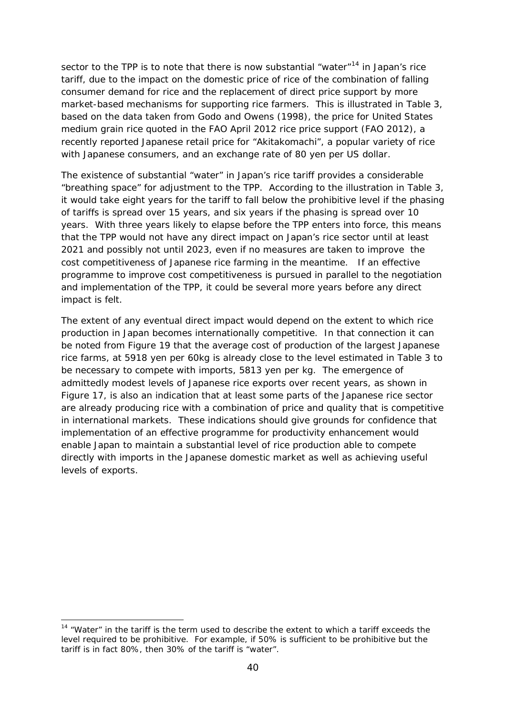sector to the TPP is to note that there is now substantial "water"<sup>[14](#page-41-0)</sup> in Japan's rice tariff, due to the impact on the domestic price of rice of the combination of falling consumer demand for rice and the replacement of direct price support by more market-based mechanisms for supporting rice farmers. This is illustrated in Table 3, based on the data taken from Godo and Owens (1998), the price for United States medium grain rice quoted in the FAO April 2012 rice price support (FAO 2012), a recently reported Japanese retail price for "Akitakomachi", a popular variety of rice with Japanese consumers, and an exchange rate of 80 yen per US dollar.

The existence of substantial "water" in Japan's rice tariff provides a considerable "breathing space" for adjustment to the TPP. According to the illustration in Table 3, it would take eight years for the tariff to fall below the prohibitive level if the phasing of tariffs is spread over 15 years, and six years if the phasing is spread over 10 years. With three years likely to elapse before the TPP enters into force, this means that the TPP would not have any direct impact on Japan's rice sector until at least 2021 and possibly not until 2023, even if no measures are taken to improve the cost competitiveness of Japanese rice farming in the meantime. If an effective programme to improve cost competitiveness is pursued in parallel to the negotiation and implementation of the TPP, it could be several more years before any direct impact is felt.

The extent of any eventual direct impact would depend on the extent to which rice production in Japan becomes internationally competitive. In that connection it can be noted from Figure 19 that the average cost of production of the largest Japanese rice farms, at 5918 yen per 60kg is already close to the level estimated in Table 3 to be necessary to compete with imports, 5813 yen per kg. The emergence of admittedly modest levels of Japanese rice exports over recent years, as shown in Figure 17, is also an indication that at least some parts of the Japanese rice sector are already producing rice with a combination of price and quality that is competitive in international markets. These indications should give grounds for confidence that implementation of an effective programme for productivity enhancement would enable Japan to maintain a substantial level of rice production able to compete directly with imports in the Japanese domestic market as well as achieving useful levels of exports.

-

<span id="page-41-0"></span> $14$  "Water" in the tariff is the term used to describe the extent to which a tariff exceeds the level required to be prohibitive. For example, if 50% is sufficient to be prohibitive but the tariff is in fact 80%, then 30% of the tariff is "water".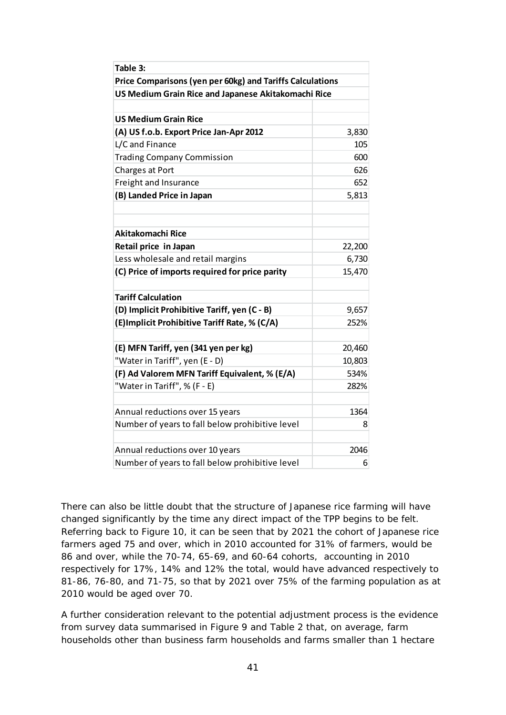| Table 3:                                                  |        |
|-----------------------------------------------------------|--------|
| Price Comparisons (yen per 60kg) and Tariffs Calculations |        |
| US Medium Grain Rice and Japanese Akitakomachi Rice       |        |
|                                                           |        |
| <b>US Medium Grain Rice</b>                               |        |
| (A) US f.o.b. Export Price Jan-Apr 2012                   | 3,830  |
| L/C and Finance                                           | 105    |
| <b>Trading Company Commission</b>                         | 600    |
| Charges at Port                                           | 626    |
| Freight and Insurance                                     | 652    |
| (B) Landed Price in Japan                                 | 5,813  |
|                                                           |        |
|                                                           |        |
| Akitakomachi Rice                                         |        |
| Retail price in Japan                                     | 22,200 |
| Less wholesale and retail margins                         | 6,730  |
| (C) Price of imports required for price parity            | 15,470 |
|                                                           |        |
| <b>Tariff Calculation</b>                                 |        |
| (D) Implicit Prohibitive Tariff, yen (C - B)              | 9,657  |
| (E) Implicit Prohibitive Tariff Rate, % (C/A)             | 252%   |
|                                                           |        |
| (E) MFN Tariff, yen (341 yen per kg)                      | 20,460 |
| "Water in Tariff", yen (E - D)                            | 10,803 |
| (F) Ad Valorem MFN Tariff Equivalent, % (E/A)             | 534%   |
| "Water in Tariff", % (F - E)                              | 282%   |
|                                                           |        |
| Annual reductions over 15 years                           | 1364   |
| Number of years to fall below prohibitive level           | 8      |
|                                                           |        |
| Annual reductions over 10 years                           | 2046   |
| Number of years to fall below prohibitive level           | 6      |

There can also be little doubt that the structure of Japanese rice farming will have changed significantly by the time any direct impact of the TPP begins to be felt. Referring back to Figure 10, it can be seen that by 2021 the cohort of Japanese rice farmers aged 75 and over, which in 2010 accounted for 31% of farmers, would be 86 and over, while the 70-74, 65-69, and 60-64 cohorts, accounting in 2010 respectively for 17%, 14% and 12% the total, would have advanced respectively to 81-86, 76-80, and 71-75, so that by 2021 over 75% of the farming population as at 2010 would be aged over 70.

A further consideration relevant to the potential adjustment process is the evidence from survey data summarised in Figure 9 and Table 2 that, on average, farm households other than business farm households and farms smaller than 1 hectare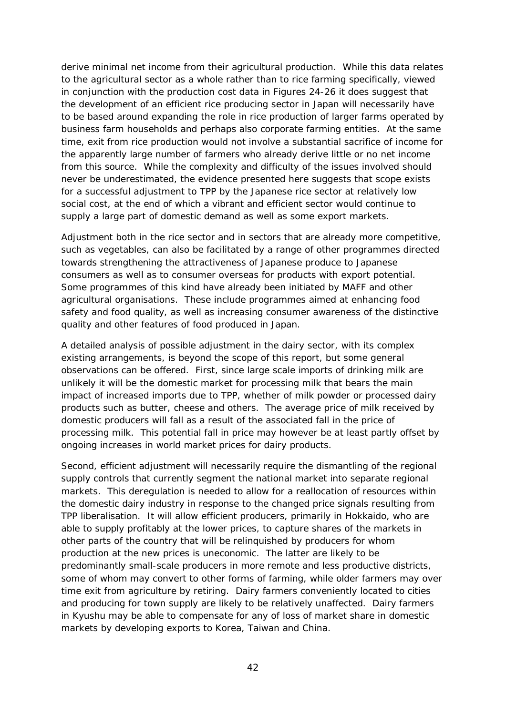derive minimal net income from their agricultural production. While this data relates to the agricultural sector as a whole rather than to rice farming specifically, viewed in conjunction with the production cost data in Figures 24-26 it does suggest that the development of an efficient rice producing sector in Japan will necessarily have to be based around expanding the role in rice production of larger farms operated by business farm households and perhaps also corporate farming entities. At the same time, exit from rice production would not involve a substantial sacrifice of income for the apparently large number of farmers who already derive little or no net income from this source. While the complexity and difficulty of the issues involved should never be underestimated, the evidence presented here suggests that scope exists for a successful adjustment to TPP by the Japanese rice sector at relatively low social cost, at the end of which a vibrant and efficient sector would continue to supply a large part of domestic demand as well as some export markets.

Adjustment both in the rice sector and in sectors that are already more competitive, such as vegetables, can also be facilitated by a range of other programmes directed towards strengthening the attractiveness of Japanese produce to Japanese consumers as well as to consumer overseas for products with export potential. Some programmes of this kind have already been initiated by MAFF and other agricultural organisations. These include programmes aimed at enhancing food safety and food quality, as well as increasing consumer awareness of the distinctive quality and other features of food produced in Japan.

A detailed analysis of possible adjustment in the dairy sector, with its complex existing arrangements, is beyond the scope of this report, but some general observations can be offered. First, since large scale imports of drinking milk are unlikely it will be the domestic market for processing milk that bears the main impact of increased imports due to TPP, whether of milk powder or processed dairy products such as butter, cheese and others. The average price of milk received by domestic producers will fall as a result of the associated fall in the price of processing milk. This potential fall in price may however be at least partly offset by ongoing increases in world market prices for dairy products.

Second, efficient adjustment will necessarily require the dismantling of the regional supply controls that currently segment the national market into separate regional markets. This deregulation is needed to allow for a reallocation of resources within the domestic dairy industry in response to the changed price signals resulting from TPP liberalisation. It will allow efficient producers, primarily in Hokkaido, who are able to supply profitably at the lower prices, to capture shares of the markets in other parts of the country that will be relinquished by producers for whom production at the new prices is uneconomic. The latter are likely to be predominantly small-scale producers in more remote and less productive districts, some of whom may convert to other forms of farming, while older farmers may over time exit from agriculture by retiring. Dairy farmers conveniently located to cities and producing for town supply are likely to be relatively unaffected. Dairy farmers in Kyushu may be able to compensate for any of loss of market share in domestic markets by developing exports to Korea, Taiwan and China.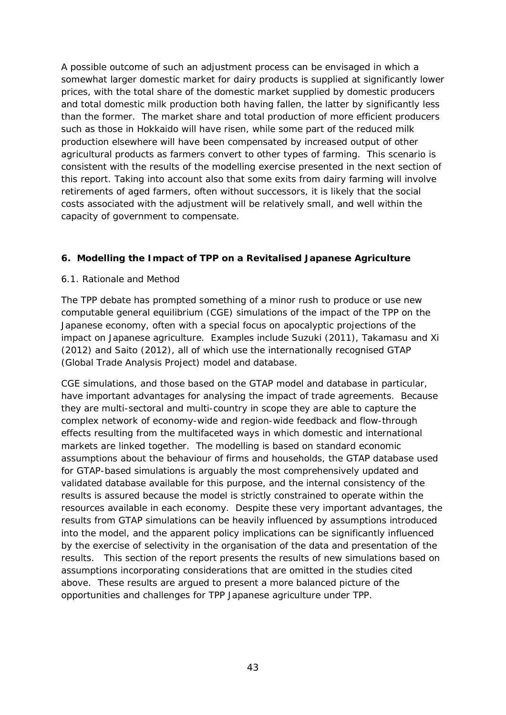A possible outcome of such an adjustment process can be envisaged in which a somewhat larger domestic market for dairy products is supplied at significantly lower prices, with the total share of the domestic market supplied by domestic producers and total domestic milk production both having fallen, the latter by significantly less than the former. The market share and total production of more efficient producers such as those in Hokkaido will have risen, while some part of the reduced milk production elsewhere will have been compensated by increased output of other agricultural products as farmers convert to other types of farming. This scenario is consistent with the results of the modelling exercise presented in the next section of this report. Taking into account also that some exits from dairy farming will involve retirements of aged farmers, often without successors, it is likely that the social costs associated with the adjustment will be relatively small, and well within the capacity of government to compensate.

#### **6. Modelling the Impact of TPP on a Revitalised Japanese Agriculture**

#### *6.1. Rationale and Method*

The TPP debate has prompted something of a minor rush to produce or use new computable general equilibrium (CGE) simulations of the impact of the TPP on the Japanese economy, often with a special focus on apocalyptic projections of the impact on Japanese agriculture. Examples include Suzuki (2011), Takamasu and Xi (2012) and Saito (2012), all of which use the internationally recognised GTAP (Global Trade Analysis Project) model and database.

CGE simulations, and those based on the GTAP model and database in particular, have important advantages for analysing the impact of trade agreements. Because they are multi-sectoral and multi-country in scope they are able to capture the complex network of economy-wide and region-wide feedback and flow-through effects resulting from the multifaceted ways in which domestic and international markets are linked together. The modelling is based on standard economic assumptions about the behaviour of firms and households, the GTAP database used for GTAP-based simulations is arguably the most comprehensively updated and validated database available for this purpose, and the internal consistency of the results is assured because the model is strictly constrained to operate within the resources available in each economy. Despite these very important advantages, the results from GTAP simulations can be heavily influenced by assumptions introduced into the model, and the apparent policy implications can be significantly influenced by the exercise of selectivity in the organisation of the data and presentation of the results. This section of the report presents the results of new simulations based on assumptions incorporating considerations that are omitted in the studies cited above. These results are argued to present a more balanced picture of the opportunities and challenges for TPP Japanese agriculture under TPP.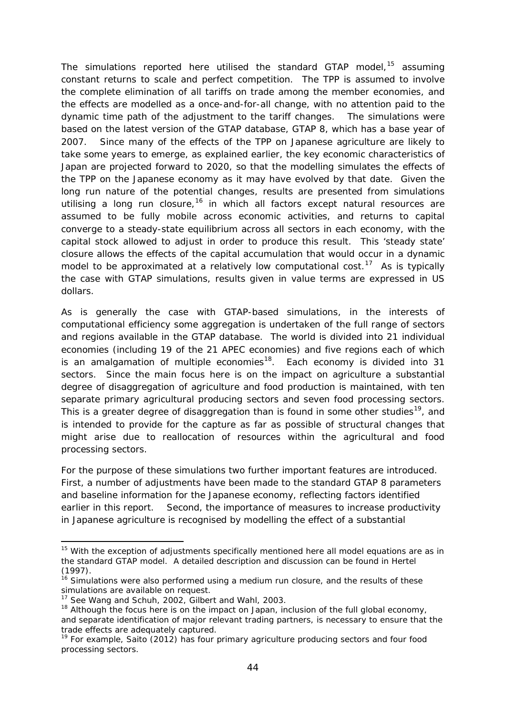The simulations reported here utilised the standard GTAP model,  $15$  assuming constant returns to scale and perfect competition. The TPP is assumed to involve the complete elimination of all tariffs on trade among the member economies, and the effects are modelled as a once-and-for-all change, with no attention paid to the dynamic time path of the adjustment to the tariff changes. The simulations were based on the latest version of the GTAP database, GTAP 8, which has a base year of 2007. Since many of the effects of the TPP on Japanese agriculture are likely to take some years to emerge, as explained earlier, the key economic characteristics of Japan are projected forward to 2020, so that the modelling simulates the effects of the TPP on the Japanese economy as it may have evolved by that date. Given the long run nature of the potential changes, results are presented from simulations utilising a long run closure,<sup>[16](#page-45-1)</sup> in which all factors except natural resources are assumed to be fully mobile across economic activities, and returns to capital converge to a steady-state equilibrium across all sectors in each economy, with the capital stock allowed to adjust in order to produce this result. This 'steady state' closure allows the effects of the capital accumulation that would occur in a dynamic model to be approximated at a relatively low computational cost.<sup>[17](#page-45-2)</sup> As is typically the case with GTAP simulations, results given in value terms are expressed in US dollars.

As is generally the case with GTAP-based simulations, in the interests of computational efficiency some aggregation is undertaken of the full range of sectors and regions available in the GTAP database. The world is divided into 21 individual economies (including 19 of the 21 APEC economies) and five regions each of which is an amalgamation of multiple economies<sup>18</sup>. Each economy is divided into 31 sectors. Since the main focus here is on the impact on agriculture a substantial degree of disaggregation of agriculture and food production is maintained, with ten separate primary agricultural producing sectors and seven food processing sectors. This is a greater degree of disaggregation than is found in some other studies<sup>[19](#page-45-4)</sup>, and is intended to provide for the capture as far as possible of structural changes that might arise due to reallocation of resources within the agricultural and food processing sectors.

For the purpose of these simulations two further important features are introduced. First, a number of adjustments have been made to the standard GTAP 8 parameters and baseline information for the Japanese economy, reflecting factors identified earlier in this report. Second, the importance of measures to increase productivity in Japanese agriculture is recognised by modelling the effect of a substantial

<u>.</u>

<span id="page-45-0"></span> $15$  With the exception of adjustments specifically mentioned here all model equations are as in the standard GTAP model. A detailed description and discussion can be found in Hertel (1997).

<span id="page-45-1"></span> $16$  Simulations were also performed using a medium run closure, and the results of these simulations are available on request.

<sup>17</sup> See Wang and Schuh, 2002, Gilbert and Wahl, 2003.

<span id="page-45-3"></span><span id="page-45-2"></span> $18$  Although the focus here is on the impact on Japan, inclusion of the full global economy, and separate identification of major relevant trading partners, is necessary to ensure that the trade effects are adequately captured.

<span id="page-45-4"></span> $19$  For example, Saito (2012) has four primary agriculture producing sectors and four food processing sectors.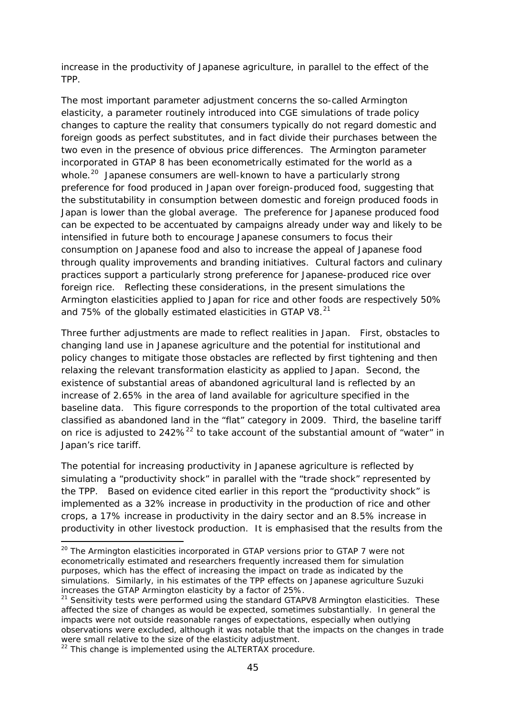increase in the productivity of Japanese agriculture, in parallel to the effect of the TPP.

The most important parameter adjustment concerns the so-called Armington elasticity, a parameter routinely introduced into CGE simulations of trade policy changes to capture the reality that consumers typically do not regard domestic and foreign goods as perfect substitutes, and in fact divide their purchases between the two even in the presence of obvious price differences. The Armington parameter incorporated in GTAP 8 has been econometrically estimated for the world as a whole.<sup>20</sup> Japanese consumers are well-known to have a particularly strong preference for food produced in Japan over foreign-produced food, suggesting that the substitutability in consumption between domestic and foreign produced foods in Japan is lower than the global average. The preference for Japanese produced food can be expected to be accentuated by campaigns already under way and likely to be intensified in future both to encourage Japanese consumers to focus their consumption on Japanese food and also to increase the appeal of Japanese food through quality improvements and branding initiatives. Cultural factors and culinary practices support a particularly strong preference for Japanese-produced rice over foreign rice. Reflecting these considerations, in the present simulations the Armington elasticities applied to Japan for rice and other foods are respectively 50% and 75% of the globally estimated elasticities in GTAP V8. $^{21}$  $^{21}$  $^{21}$ 

Three further adjustments are made to reflect realities in Japan. First, obstacles to changing land use in Japanese agriculture and the potential for institutional and policy changes to mitigate those obstacles are reflected by first tightening and then relaxing the relevant transformation elasticity as applied to Japan. Second, the existence of substantial areas of abandoned agricultural land is reflected by an increase of 2.65% in the area of land available for agriculture specified in the baseline data. This figure corresponds to the proportion of the total cultivated area classified as abandoned land in the "flat" category in 2009. Third, the baseline tariff on rice is adjusted to  $242\%^{22}$  $242\%^{22}$  $242\%^{22}$  to take account of the substantial amount of "water" in Japan's rice tariff.

The potential for increasing productivity in Japanese agriculture is reflected by simulating a "productivity shock" in parallel with the "trade shock" represented by the TPP. Based on evidence cited earlier in this report the "productivity shock" is implemented as a 32% increase in productivity in the production of rice and other crops, a 17% increase in productivity in the dairy sector and an 8.5% increase in productivity in other livestock production. It is emphasised that the results from the

<u>.</u>

<span id="page-46-0"></span><sup>&</sup>lt;sup>20</sup> The Arminaton elasticities incorporated in GTAP versions prior to GTAP 7 were not econometrically estimated and researchers frequently increased them for simulation purposes, which has the effect of increasing the impact on trade as indicated by the simulations. Similarly, in his estimates of the TPP effects on Japanese agriculture Suzuki increases the GTAP Armington elasticity by a factor of 25%.

<span id="page-46-1"></span> $21$  Sensitivity tests were performed using the standard GTAPV8 Armington elasticities. These affected the size of changes as would be expected, sometimes substantially. In general the impacts were not outside reasonable ranges of expectations, especially when outlying observations were excluded, although it was notable that the impacts on the changes in trade were small relative to the size of the elasticity adjustment.

<span id="page-46-2"></span> $22$  This change is implemented using the ALTERTAX procedure.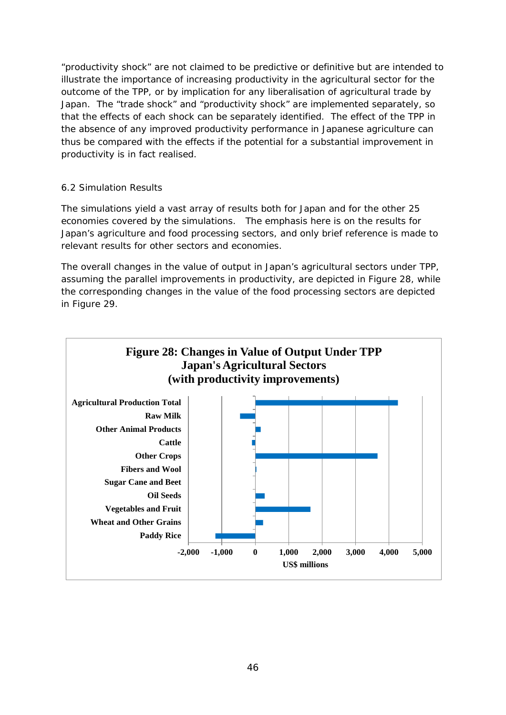"productivity shock" are not claimed to be predictive or definitive but are intended to illustrate the importance of increasing productivity in the agricultural sector for the outcome of the TPP, or by implication for any liberalisation of agricultural trade by Japan. The "trade shock" and "productivity shock" are implemented separately, so that the effects of each shock can be separately identified. The effect of the TPP in the absence of any improved productivity performance in Japanese agriculture can thus be compared with the effects if the potential for a substantial improvement in productivity is in fact realised.

#### *6.2 Simulation Results*

The simulations yield a vast array of results both for Japan and for the other 25 economies covered by the simulations. The emphasis here is on the results for Japan's agriculture and food processing sectors, and only brief reference is made to relevant results for other sectors and economies.

The overall changes in the value of output in Japan's agricultural sectors under TPP, assuming the parallel improvements in productivity, are depicted in Figure 28, while the corresponding changes in the value of the food processing sectors are depicted in Figure 29.

![](_page_47_Figure_4.jpeg)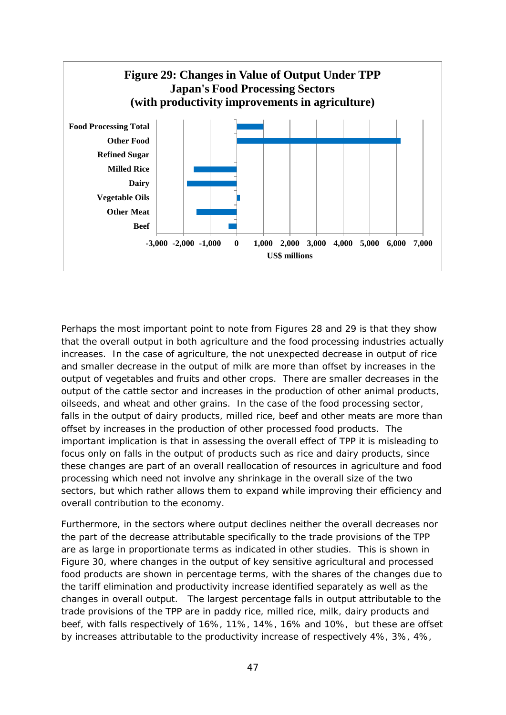![](_page_48_Figure_0.jpeg)

Perhaps the most important point to note from Figures 28 and 29 is that they show that the overall output in both agriculture and the food processing industries actually increases. In the case of agriculture, the not unexpected decrease in output of rice and smaller decrease in the output of milk are more than offset by increases in the output of vegetables and fruits and other crops. There are smaller decreases in the output of the cattle sector and increases in the production of other animal products, oilseeds, and wheat and other grains. In the case of the food processing sector, falls in the output of dairy products, milled rice, beef and other meats are more than offset by increases in the production of other processed food products. The important implication is that in assessing the overall effect of TPP it is misleading to focus only on falls in the output of products such as rice and dairy products, since these changes are part of an overall reallocation of resources in agriculture and food processing which need not involve any shrinkage in the overall size of the two sectors, but which rather allows them to expand while improving their efficiency and overall contribution to the economy.

Furthermore, in the sectors where output declines neither the overall decreases nor the part of the decrease attributable specifically to the trade provisions of the TPP are as large in proportionate terms as indicated in other studies. This is shown in Figure 30, where changes in the output of key sensitive agricultural and processed food products are shown in percentage terms, with the shares of the changes due to the tariff elimination and productivity increase identified separately as well as the changes in overall output. The largest percentage falls in output attributable to the trade provisions of the TPP are in paddy rice, milled rice, milk, dairy products and beef, with falls respectively of 16%, 11%, 14%, 16% and 10%, but these are offset by increases attributable to the productivity increase of respectively 4%, 3%, 4%,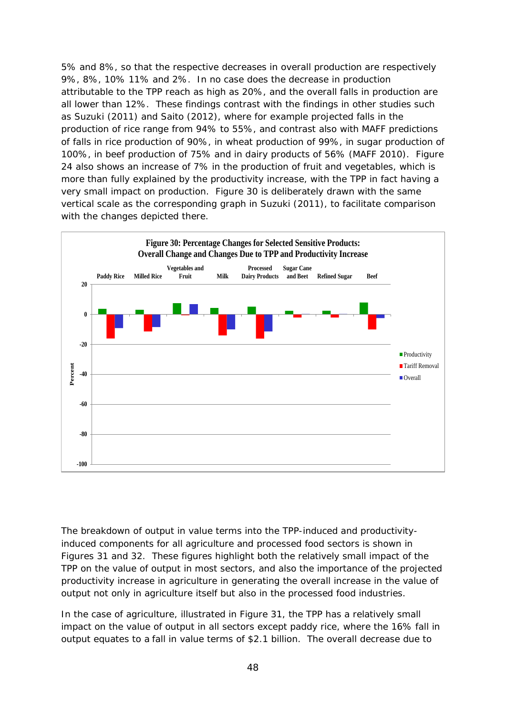5% and 8%, so that the respective decreases in overall production are respectively 9%, 8%, 10% 11% and 2%. In no case does the decrease in production attributable to the TPP reach as high as 20%, and the overall falls in production are all lower than 12%. These findings contrast with the findings in other studies such as Suzuki (2011) and Saito (2012), where for example projected falls in the production of rice range from 94% to 55%, and contrast also with MAFF predictions of falls in rice production of 90%, in wheat production of 99%, in sugar production of 100%, in beef production of 75% and in dairy products of 56% (MAFF 2010). Figure 24 also shows an increase of 7% in the production of fruit and vegetables, which is more than fully explained by the productivity increase, with the TPP in fact having a very small impact on production. Figure 30 is deliberately drawn with the same vertical scale as the corresponding graph in Suzuki (2011), to facilitate comparison with the changes depicted there.

![](_page_49_Figure_1.jpeg)

The breakdown of output in value terms into the TPP-induced and productivityinduced components for all agriculture and processed food sectors is shown in Figures 31 and 32. These figures highlight both the relatively small impact of the TPP on the value of output in most sectors, and also the importance of the projected productivity increase in agriculture in generating the overall increase in the value of output not only in agriculture itself but also in the processed food industries.

In the case of agriculture, illustrated in Figure 31, the TPP has a relatively small impact on the value of output in all sectors except paddy rice, where the 16% fall in output equates to a fall in value terms of \$2.1 billion. The overall decrease due to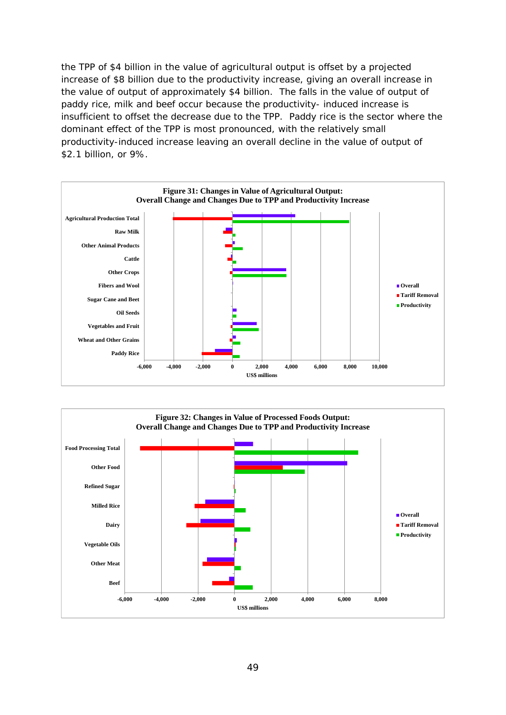the TPP of \$4 billion in the value of agricultural output is offset by a projected increase of \$8 billion due to the productivity increase, giving an overall increase in the value of output of approximately \$4 billion. The falls in the value of output of paddy rice, milk and beef occur because the productivity- induced increase is insufficient to offset the decrease due to the TPP. Paddy rice is the sector where the dominant effect of the TPP is most pronounced, with the relatively small productivity-induced increase leaving an overall decline in the value of output of \$2.1 billion, or 9%.

![](_page_50_Figure_1.jpeg)

![](_page_50_Figure_2.jpeg)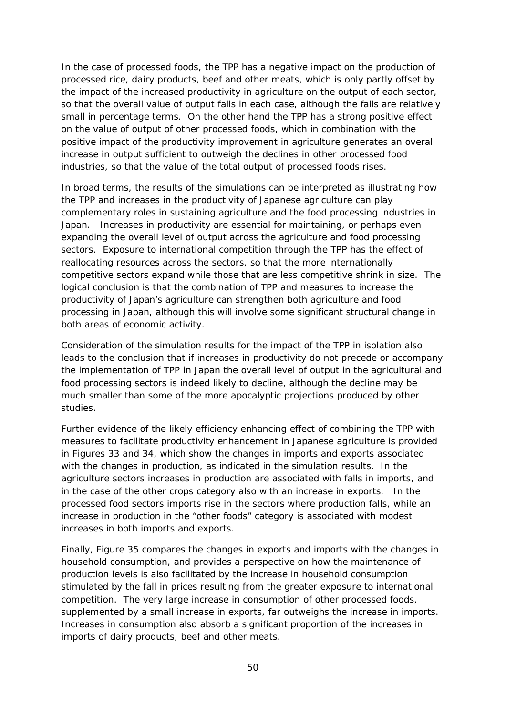In the case of processed foods, the TPP has a negative impact on the production of processed rice, dairy products, beef and other meats, which is only partly offset by the impact of the increased productivity in agriculture on the output of each sector, so that the overall value of output falls in each case, although the falls are relatively small in percentage terms. On the other hand the TPP has a strong positive effect on the value of output of other processed foods, which in combination with the positive impact of the productivity improvement in agriculture generates an overall increase in output sufficient to outweigh the declines in other processed food industries, so that the value of the total output of processed foods rises.

In broad terms, the results of the simulations can be interpreted as illustrating how the TPP and increases in the productivity of Japanese agriculture can play complementary roles in sustaining agriculture and the food processing industries in Japan. Increases in productivity are essential for maintaining, or perhaps even expanding the overall level of output across the agriculture and food processing sectors. Exposure to international competition through the TPP has the effect of reallocating resources across the sectors, so that the more internationally competitive sectors expand while those that are less competitive shrink in size. The logical conclusion is that the combination of TPP and measures to increase the productivity of Japan's agriculture can strengthen both agriculture and food processing in Japan, although this will involve some significant structural change in both areas of economic activity.

Consideration of the simulation results for the impact of the TPP in isolation also leads to the conclusion that if increases in productivity do not precede or accompany the implementation of TPP in Japan the overall level of output in the agricultural and food processing sectors is indeed likely to decline, although the decline may be much smaller than some of the more apocalyptic projections produced by other studies.

Further evidence of the likely efficiency enhancing effect of combining the TPP with measures to facilitate productivity enhancement in Japanese agriculture is provided in Figures 33 and 34, which show the changes in imports and exports associated with the changes in production, as indicated in the simulation results. In the agriculture sectors increases in production are associated with falls in imports, and in the case of the other crops category also with an increase in exports. In the processed food sectors imports rise in the sectors where production falls, while an increase in production in the "other foods" category is associated with modest increases in both imports and exports.

Finally, Figure 35 compares the changes in exports and imports with the changes in household consumption, and provides a perspective on how the maintenance of production levels is also facilitated by the increase in household consumption stimulated by the fall in prices resulting from the greater exposure to international competition. The very large increase in consumption of other processed foods, supplemented by a small increase in exports, far outweighs the increase in imports. Increases in consumption also absorb a significant proportion of the increases in imports of dairy products, beef and other meats.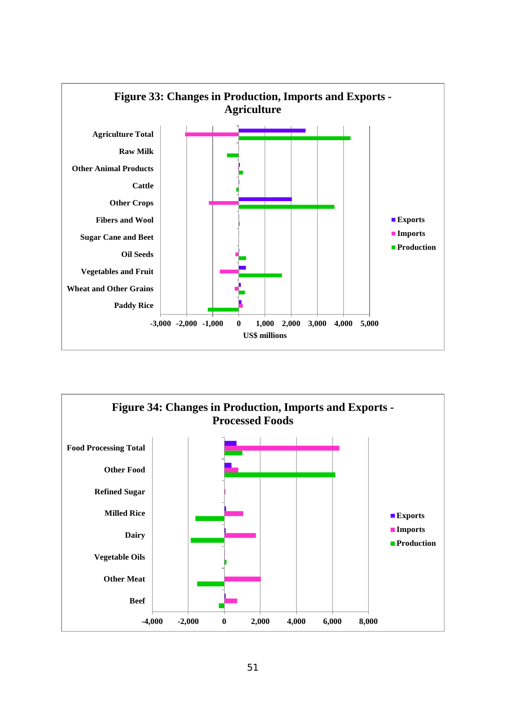![](_page_52_Figure_0.jpeg)

![](_page_52_Figure_1.jpeg)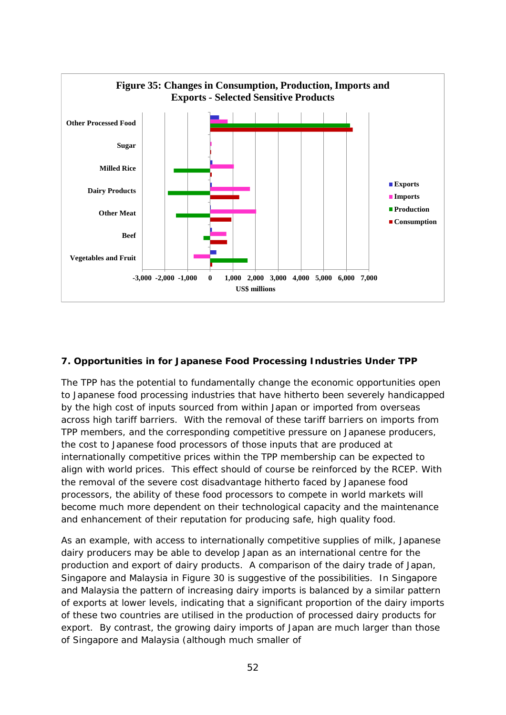![](_page_53_Figure_0.jpeg)

#### **7. Opportunities in for Japanese Food Processing Industries Under TPP**

The TPP has the potential to fundamentally change the economic opportunities open to Japanese food processing industries that have hitherto been severely handicapped by the high cost of inputs sourced from within Japan or imported from overseas across high tariff barriers. With the removal of these tariff barriers on imports from TPP members, and the corresponding competitive pressure on Japanese producers, the cost to Japanese food processors of those inputs that are produced at internationally competitive prices within the TPP membership can be expected to align with world prices. This effect should of course be reinforced by the RCEP. With the removal of the severe cost disadvantage hitherto faced by Japanese food processors, the ability of these food processors to compete in world markets will become much more dependent on their technological capacity and the maintenance and enhancement of their reputation for producing safe, high quality food.

As an example, with access to internationally competitive supplies of milk, Japanese dairy producers may be able to develop Japan as an international centre for the production and export of dairy products. A comparison of the dairy trade of Japan, Singapore and Malaysia in Figure 30 is suggestive of the possibilities. In Singapore and Malaysia the pattern of increasing dairy imports is balanced by a similar pattern of exports at lower levels, indicating that a significant proportion of the dairy imports of these two countries are utilised in the production of processed dairy products for export. By contrast, the growing dairy imports of Japan are much larger than those of Singapore and Malaysia (although much smaller of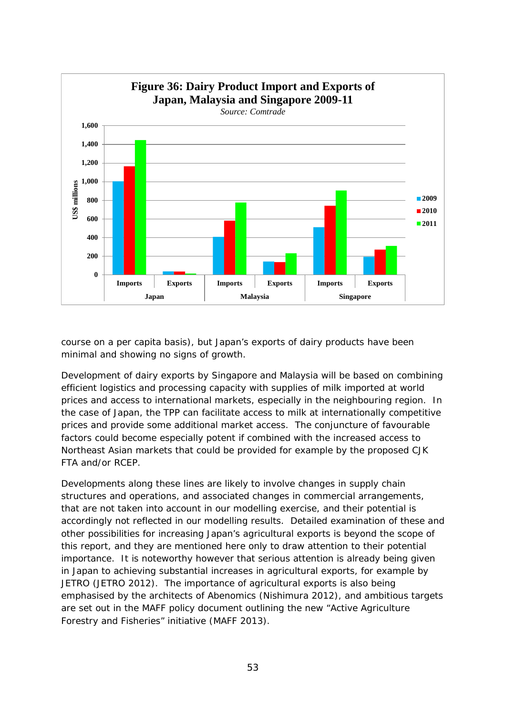![](_page_54_Figure_0.jpeg)

course on a per capita basis), but Japan's exports of dairy products have been minimal and showing no signs of growth.

Development of dairy exports by Singapore and Malaysia will be based on combining efficient logistics and processing capacity with supplies of milk imported at world prices and access to international markets, especially in the neighbouring region. In the case of Japan, the TPP can facilitate access to milk at internationally competitive prices and provide some additional market access. The conjuncture of favourable factors could become especially potent if combined with the increased access to Northeast Asian markets that could be provided for example by the proposed CJK FTA and/or RCEP.

Developments along these lines are likely to involve changes in supply chain structures and operations, and associated changes in commercial arrangements, that are not taken into account in our modelling exercise, and their potential is accordingly not reflected in our modelling results. Detailed examination of these and other possibilities for increasing Japan's agricultural exports is beyond the scope of this report, and they are mentioned here only to draw attention to their potential importance. It is noteworthy however that serious attention is already being given in Japan to achieving substantial increases in agricultural exports, for example by JETRO (JETRO 2012). The importance of agricultural exports is also being emphasised by the architects of Abenomics (Nishimura 2012), and ambitious targets are set out in the MAFF policy document outlining the new "Active Agriculture Forestry and Fisheries" initiative (MAFF 2013).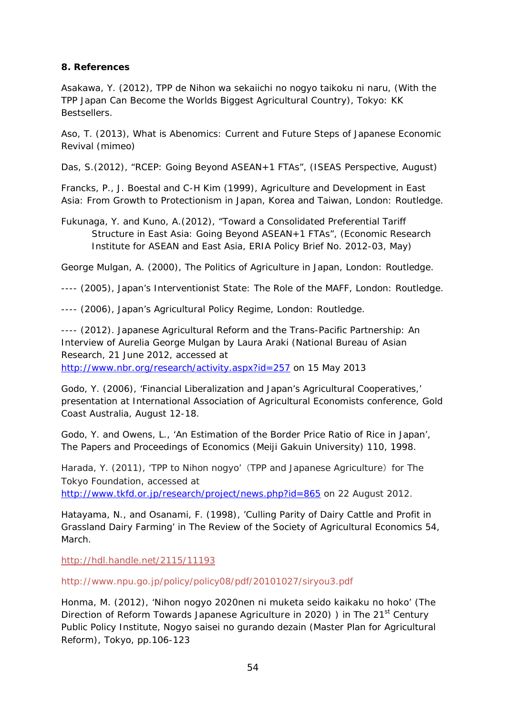#### **8. References**

Asakawa, Y. (2012), *TPP de Nihon wa sekaiichi no nogyo taikoku ni naru,* (With the TPP Japan Can Become the Worlds Biggest Agricultural Country), Tokyo: KK **Bestsellers** 

Aso, T. (2013), *What is Abenomics: Current and Future Steps of Japanese Economic Revival* (mimeo)

Das, S.(2012), "RCEP: Going Beyond ASEAN+1 FTAs", (ISEAS Perspective, August)

Francks, P., J. Boestal and C-H Kim (1999), *Agriculture and Development in East Asia: From Growth to Protectionism in Japan, Korea and Taiwan*, London: Routledge.

Fukunaga, Y. and Kuno, A.(2012), "Toward a Consolidated Preferential Tariff Structure in East Asia: Going Beyond ASEAN+1 FTAs", (Economic Research Institute for ASEAN and East Asia, ERIA Policy Brief No. 2012-03, May)

George Mulgan, A. (2000), *The Politics of Agriculture in Japan*, London: Routledge.

---- (2005), *Japan's Interventionist State: The Role of the MAFF*, London: Routledge.

---- (2006), *Japan's Agricultural Policy Regime*, London: Routledge.

---- (2012). *Japanese Agricultural Reform and the Trans-Pacific Partnership: An Interview of Aurelia George Mulgan by Laura Araki* (National Bureau of Asian Research, 21 June 2012, accessed at <http://www.nbr.org/research/activity.aspx?id=257> on 15 May 2013

Godo, Y. (2006), 'Financial Liberalization and Japan's Agricultural Cooperatives,' presentation at International Association of Agricultural Economists conference, Gold Coast Australia, August 12-18.

Godo, Y. and Owens, L., 'An Estimation of the Border Price Ratio of Rice in Japan', *The Papers and Proceedings of Economics* (Meiji Gakuin University) 110, 1998.

Harada, Y. (2011), 'TPP to Nihon nogyo' (TPP and Japanese Agriculture) for The Tokyo Foundation, accessed at <http://www.tkfd.or.jp/research/project/news.php?id=865> on 22 August 2012.

Hatayama, N., and Osanami, F*.* (1998), 'Culling Parity of Dairy Cattle and Profit in Grassland Dairy Farming' in *The Review of the Society of Agricultural Economics* 54, March.

<http://hdl.handle.net/2115/11193>

http://www.npu.go.jp/policy/policy08/pdf/20101027/siryou3.pdf

Honma, M. (2012), 'Nihon nogyo 2020nen ni muketa seido kaikaku no hoko' (The Direction of Reform Towards Japanese Agriculture in 2020) ) in The 21<sup>st</sup> Century Public Policy Institute, *Nogyo saisei no gurando dezain* (Master Plan for Agricultural Reform), Tokyo, pp.106-123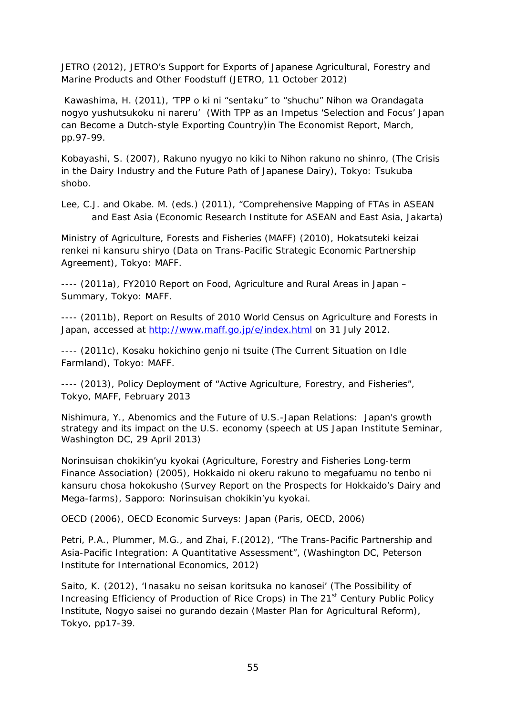JETRO (2012), *JETRO's Support for Exports of Japanese Agricultural, Forestry and Marine Products and Other Foodstuff* (JETRO, 11 October 2012)

Kawashima, H. (2011), 'TPP o ki ni "sentaku" to "shuchu" Nihon wa Orandagata nogyo yushutsukoku ni nareru' (With TPP as an Impetus 'Selection and Focus' Japan can Become a Dutch-style Exporting Country)in *The Economist Report*, March, pp.97-99.

Kobayashi, S. (2007), *Rakuno nyugyo no kiki to Nihon rakuno no shinro*, (The Crisis in the Dairy Industry and the Future Path of Japanese Dairy), Tokyo: Tsukuba shobo.

Lee, C.J. and Okabe. M. (eds.) (2011), "Comprehensive Mapping of FTAs in ASEAN and East Asia (Economic Research Institute for ASEAN and East Asia, Jakarta)

Ministry of Agriculture, Forests and Fisheries (MAFF) (2010), *Hokatsuteki keizai renkei ni kansuru shiryo* (Data on Trans-Pacific Strategic Economic Partnership Agreement), Tokyo: MAFF.

---- (2011a), *FY2010 Report on Food, Agriculture and Rural Areas in Japan – Summary*, Tokyo: MAFF.

---- (2011b), *Report on Results of 2010 World Census on Agriculture and Forests in*  Japan, accessed at<http://www.maff.go.jp/e/index.html> on 31 July 2012.

---- (2011c), *Kosaku hokichino genjo ni tsuite* (The Current Situation on Idle Farmland), Tokyo: MAFF.

---- (2013), *Policy Deployment of "Active Agriculture, Forestry, and Fisheries",*  Tokyo, MAFF, February 2013

Nishimura, Y., *Abenomics and the Future of U.S.-Japan Relations: Japan's growth strategy and its impact on the U.S. economy* (speech at US Japan Institute Seminar, Washington DC, 29 April 2013)

Norinsuisan chokikin'yu kyokai (Agriculture, Forestry and Fisheries Long-term Finance Association) (2005), *Hokkaido ni okeru rakuno to megafuamu no tenbo ni kansuru chosa hokokusho* (Survey Report on the Prospects for Hokkaido's Dairy and Mega-farms), Sapporo: Norinsuisan chokikin'yu kyokai.

OECD (2006), OECD Economic Surveys: Japan (Paris, OECD, 2006)

Petri, P.A., Plummer, M.G., and Zhai, F.(2012), "The Trans-Pacific Partnership and Asia-Pacific Integration: A Quantitative Assessment", (Washington DC, Peterson Institute for International Economics, 2012)

Saito, K. (2012), 'Inasaku no seisan koritsuka no kanosei' (The Possibility of Increasing Efficiency of Production of Rice Crops) in The 21<sup>st</sup> Century Public Policy Institute, *Nogyo saisei no gurando dezain* (Master Plan for Agricultural Reform), Tokyo, pp17-39.